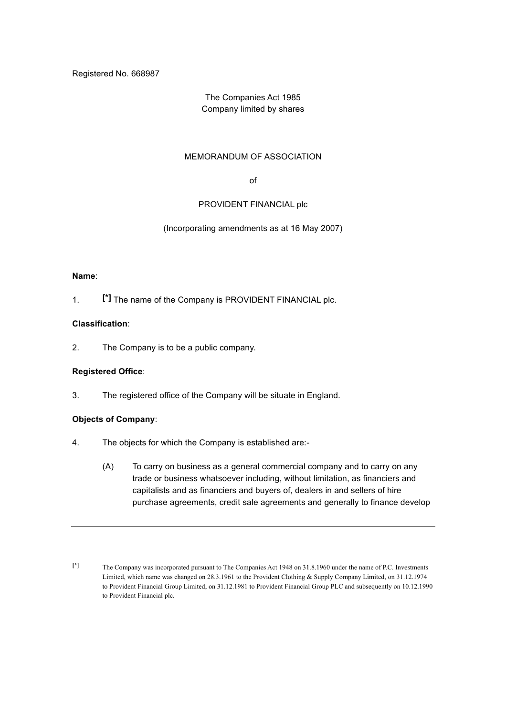Registered No. 668987

# The Companies Act 1985 Company limited by shares

### MEMORANDUM OF ASSOCIATION

of

### PROVIDENT FINANCIAL plc

(Incorporating amendments as at 16 May 2007)

#### **Name**:

1. **[\*]** The name of the Company is PROVIDENT FINANCIAL plc.

#### **Classification**:

2. The Company is to be a public company.

### **Registered Office**:

3. The registered office of the Company will be situate in England.

### **Objects of Company**:

- 4. The objects for which the Company is established are:-
	- (A) To carry on business as a general commercial company and to carry on any trade or business whatsoever including, without limitation, as financiers and capitalists and as financiers and buyers of, dealers in and sellers of hire purchase agreements, credit sale agreements and generally to finance develop

**<sup>[\*]</sup>** The Company was incorporated pursuant to The Companies Act 1948 on 31.8.1960 under the name of P.C. Investments Limited, which name was changed on 28.3.1961 to the Provident Clothing & Supply Company Limited, on 31.12.1974 to Provident Financial Group Limited, on 31.12.1981 to Provident Financial Group PLC and subsequently on 10.12.1990 to Provident Financial plc.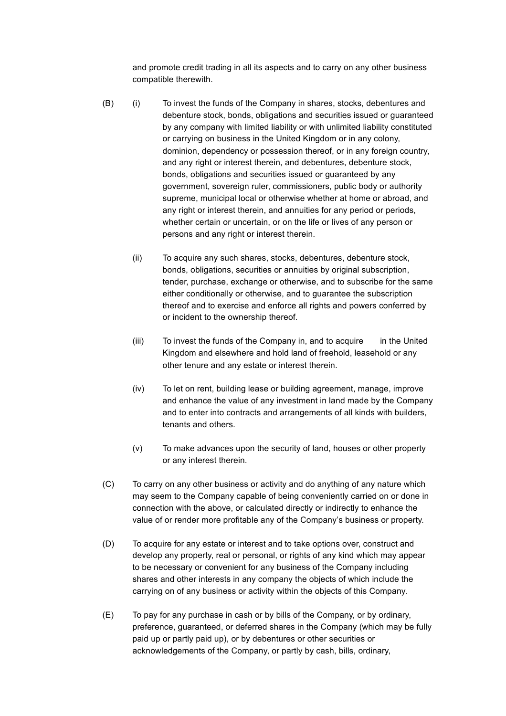and promote credit trading in all its aspects and to carry on any other business compatible therewith.

- (B) (i) To invest the funds of the Company in shares, stocks, debentures and debenture stock, bonds, obligations and securities issued or guaranteed by any company with limited liability or with unlimited liability constituted or carrying on business in the United Kingdom or in any colony, dominion, dependency or possession thereof, or in any foreign country, and any right or interest therein, and debentures, debenture stock, bonds, obligations and securities issued or guaranteed by any government, sovereign ruler, commissioners, public body or authority supreme, municipal local or otherwise whether at home or abroad, and any right or interest therein, and annuities for any period or periods, whether certain or uncertain, or on the life or lives of any person or persons and any right or interest therein.
	- (ii) To acquire any such shares, stocks, debentures, debenture stock, bonds, obligations, securities or annuities by original subscription, tender, purchase, exchange or otherwise, and to subscribe for the same either conditionally or otherwise, and to guarantee the subscription thereof and to exercise and enforce all rights and powers conferred by or incident to the ownership thereof.
	- (iii) To invest the funds of the Company in, and to acquire in the United Kingdom and elsewhere and hold land of freehold, leasehold or any other tenure and any estate or interest therein.
	- (iv) To let on rent, building lease or building agreement, manage, improve and enhance the value of any investment in land made by the Company and to enter into contracts and arrangements of all kinds with builders, tenants and others.
	- (v) To make advances upon the security of land, houses or other property or any interest therein.
- (C) To carry on any other business or activity and do anything of any nature which may seem to the Company capable of being conveniently carried on or done in connection with the above, or calculated directly or indirectly to enhance the value of or render more profitable any of the Company's business or property.
- (D) To acquire for any estate or interest and to take options over, construct and develop any property, real or personal, or rights of any kind which may appear to be necessary or convenient for any business of the Company including shares and other interests in any company the objects of which include the carrying on of any business or activity within the objects of this Company.
- (E) To pay for any purchase in cash or by bills of the Company, or by ordinary, preference, guaranteed, or deferred shares in the Company (which may be fully paid up or partly paid up), or by debentures or other securities or acknowledgements of the Company, or partly by cash, bills, ordinary,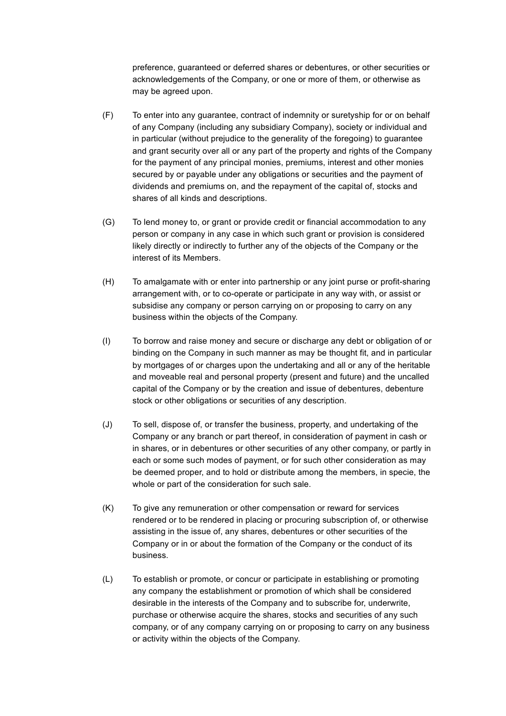preference, guaranteed or deferred shares or debentures, or other securities or acknowledgements of the Company, or one or more of them, or otherwise as may be agreed upon.

- (F) To enter into any guarantee, contract of indemnity or suretyship for or on behalf of any Company (including any subsidiary Company), society or individual and in particular (without prejudice to the generality of the foregoing) to guarantee and grant security over all or any part of the property and rights of the Company for the payment of any principal monies, premiums, interest and other monies secured by or payable under any obligations or securities and the payment of dividends and premiums on, and the repayment of the capital of, stocks and shares of all kinds and descriptions.
- (G) To lend money to, or grant or provide credit or financial accommodation to any person or company in any case in which such grant or provision is considered likely directly or indirectly to further any of the objects of the Company or the interest of its Members.
- (H) To amalgamate with or enter into partnership or any joint purse or profit-sharing arrangement with, or to co-operate or participate in any way with, or assist or subsidise any company or person carrying on or proposing to carry on any business within the objects of the Company.
- (I) To borrow and raise money and secure or discharge any debt or obligation of or binding on the Company in such manner as may be thought fit, and in particular by mortgages of or charges upon the undertaking and all or any of the heritable and moveable real and personal property (present and future) and the uncalled capital of the Company or by the creation and issue of debentures, debenture stock or other obligations or securities of any description.
- (J) To sell, dispose of, or transfer the business, property, and undertaking of the Company or any branch or part thereof, in consideration of payment in cash or in shares, or in debentures or other securities of any other company, or partly in each or some such modes of payment, or for such other consideration as may be deemed proper, and to hold or distribute among the members, in specie, the whole or part of the consideration for such sale.
- (K) To give any remuneration or other compensation or reward for services rendered or to be rendered in placing or procuring subscription of, or otherwise assisting in the issue of, any shares, debentures or other securities of the Company or in or about the formation of the Company or the conduct of its business.
- (L) To establish or promote, or concur or participate in establishing or promoting any company the establishment or promotion of which shall be considered desirable in the interests of the Company and to subscribe for, underwrite, purchase or otherwise acquire the shares, stocks and securities of any such company, or of any company carrying on or proposing to carry on any business or activity within the objects of the Company.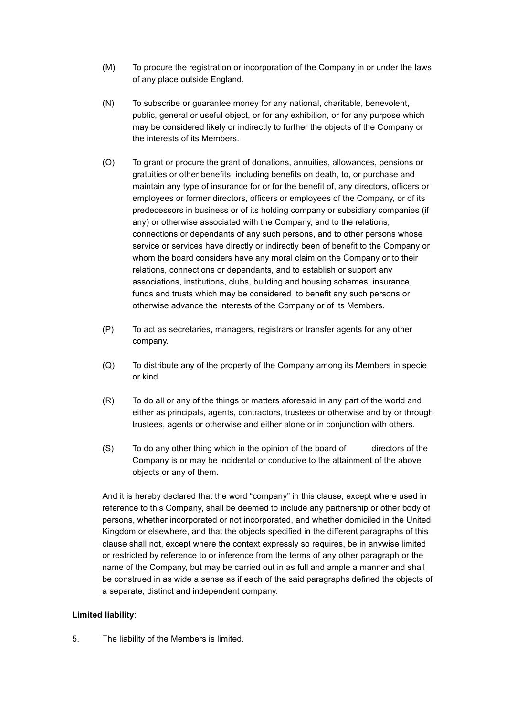- (M) To procure the registration or incorporation of the Company in or under the laws of any place outside England.
- (N) To subscribe or guarantee money for any national, charitable, benevolent, public, general or useful object, or for any exhibition, or for any purpose which may be considered likely or indirectly to further the objects of the Company or the interests of its Members.
- (O) To grant or procure the grant of donations, annuities, allowances, pensions or gratuities or other benefits, including benefits on death, to, or purchase and maintain any type of insurance for or for the benefit of, any directors, officers or employees or former directors, officers or employees of the Company, or of its predecessors in business or of its holding company or subsidiary companies (if any) or otherwise associated with the Company, and to the relations, connections or dependants of any such persons, and to other persons whose service or services have directly or indirectly been of benefit to the Company or whom the board considers have any moral claim on the Company or to their relations, connections or dependants, and to establish or support any associations, institutions, clubs, building and housing schemes, insurance, funds and trusts which may be considered to benefit any such persons or otherwise advance the interests of the Company or of its Members.
- (P) To act as secretaries, managers, registrars or transfer agents for any other company.
- (Q) To distribute any of the property of the Company among its Members in specie or kind.
- (R) To do all or any of the things or matters aforesaid in any part of the world and either as principals, agents, contractors, trustees or otherwise and by or through trustees, agents or otherwise and either alone or in conjunction with others.
- (S) To do any other thing which in the opinion of the board of directors of the Company is or may be incidental or conducive to the attainment of the above objects or any of them.

And it is hereby declared that the word "company" in this clause, except where used in reference to this Company, shall be deemed to include any partnership or other body of persons, whether incorporated or not incorporated, and whether domiciled in the United Kingdom or elsewhere, and that the objects specified in the different paragraphs of this clause shall not, except where the context expressly so requires, be in anywise limited or restricted by reference to or inference from the terms of any other paragraph or the name of the Company, but may be carried out in as full and ample a manner and shall be construed in as wide a sense as if each of the said paragraphs defined the objects of a separate, distinct and independent company.

### **Limited liability**:

5. The liability of the Members is limited.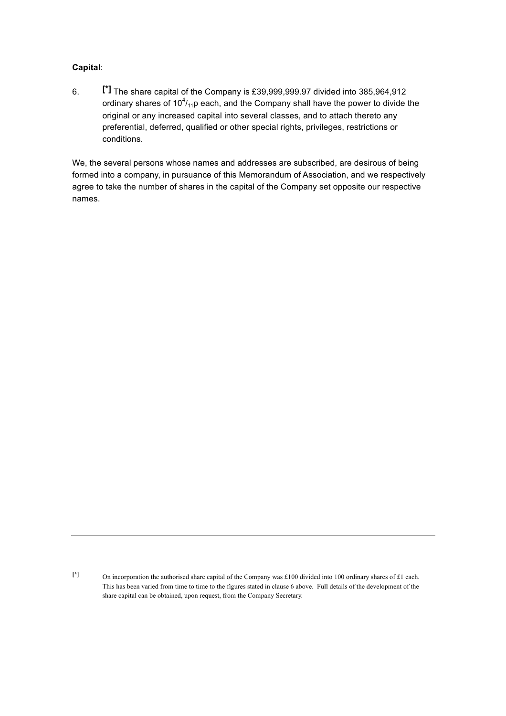## **Capital**:

6. **[\*]** The share capital of the Company is £39,999,999.97 divided into 385,964,912 ordinary shares of 10 $^4$ /<sub>11</sub>p each, and the Company shall have the power to divide the original or any increased capital into several classes, and to attach thereto any preferential, deferred, qualified or other special rights, privileges, restrictions or conditions.

We, the several persons whose names and addresses are subscribed, are desirous of being formed into a company, in pursuance of this Memorandum of Association, and we respectively agree to take the number of shares in the capital of the Company set opposite our respective names.

**<sup>[\*]</sup>** On incorporation the authorised share capital of the Company was £100 divided into 100 ordinary shares of £1 each. This has been varied from time to time to the figures stated in clause 6 above. Full details of the development of the share capital can be obtained, upon request, from the Company Secretary.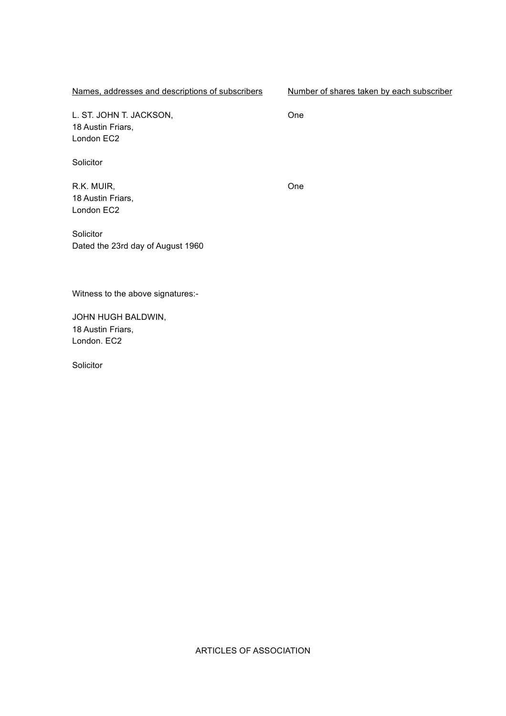Names, addresses and descriptions of subscribers Number of shares taken by each subscriber

L. ST. JOHN T. JACKSON, 18 Austin Friars, London EC2

Solicitor

R.K. MUIR, 18 Austin Friars, London EC2

One

One

**Solicitor** Dated the 23rd day of August 1960

Witness to the above signatures:-

JOHN HUGH BALDWIN, 18 Austin Friars, London. EC2

Solicitor

ARTICLES OF ASSOCIATION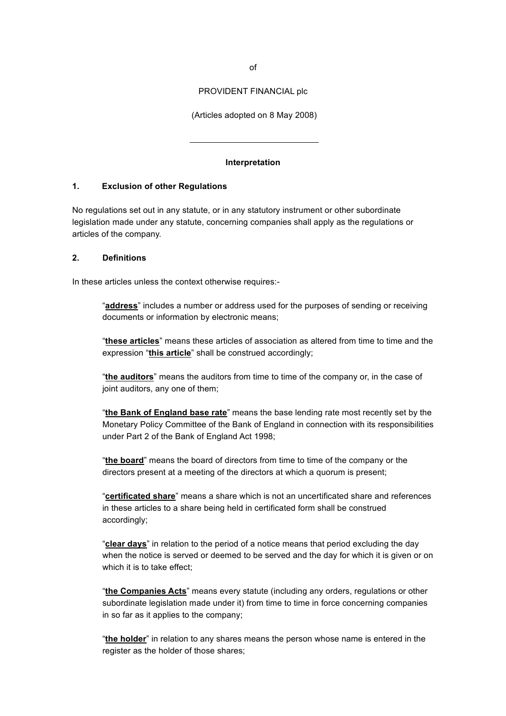PROVIDENT FINANCIAL plc

(Articles adopted on 8 May 2008)

#### **Interpretation**

 $\overline{a}$ 

#### **1. Exclusion of other Regulations**

No regulations set out in any statute, or in any statutory instrument or other subordinate legislation made under any statute, concerning companies shall apply as the regulations or articles of the company.

#### **2. Definitions**

In these articles unless the context otherwise requires:-

"**address**" includes a number or address used for the purposes of sending or receiving documents or information by electronic means;

"**these articles**" means these articles of association as altered from time to time and the expression "**this article**" shall be construed accordingly;

"**the auditors**" means the auditors from time to time of the company or, in the case of joint auditors, any one of them;

"**the Bank of England base rate**" means the base lending rate most recently set by the Monetary Policy Committee of the Bank of England in connection with its responsibilities under Part 2 of the Bank of England Act 1998;

"**the board**" means the board of directors from time to time of the company or the directors present at a meeting of the directors at which a quorum is present;

"**certificated share**" means a share which is not an uncertificated share and references in these articles to a share being held in certificated form shall be construed accordingly;

"**clear days**" in relation to the period of a notice means that period excluding the day when the notice is served or deemed to be served and the day for which it is given or on which it is to take effect;

"**the Companies Acts**" means every statute (including any orders, regulations or other subordinate legislation made under it) from time to time in force concerning companies in so far as it applies to the company;

"**the holder**" in relation to any shares means the person whose name is entered in the register as the holder of those shares;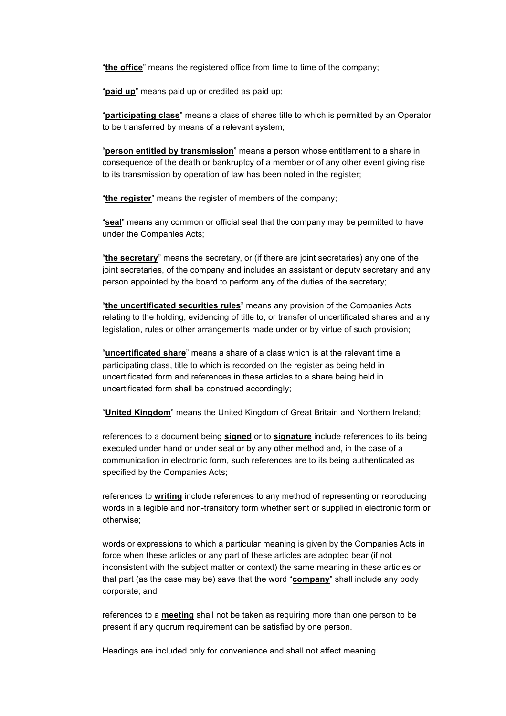"**the office**" means the registered office from time to time of the company;

"**paid up**" means paid up or credited as paid up;

"**participating class**" means a class of shares title to which is permitted by an Operator to be transferred by means of a relevant system;

"**person entitled by transmission**" means a person whose entitlement to a share in consequence of the death or bankruptcy of a member or of any other event giving rise to its transmission by operation of law has been noted in the register;

"**the register**" means the register of members of the company;

"**seal**" means any common or official seal that the company may be permitted to have under the Companies Acts;

"**the secretary**" means the secretary, or (if there are joint secretaries) any one of the joint secretaries, of the company and includes an assistant or deputy secretary and any person appointed by the board to perform any of the duties of the secretary;

"**the uncertificated securities rules**" means any provision of the Companies Acts relating to the holding, evidencing of title to, or transfer of uncertificated shares and any legislation, rules or other arrangements made under or by virtue of such provision;

"**uncertificated share**" means a share of a class which is at the relevant time a participating class, title to which is recorded on the register as being held in uncertificated form and references in these articles to a share being held in uncertificated form shall be construed accordingly;

"**United Kingdom**" means the United Kingdom of Great Britain and Northern Ireland;

references to a document being **signed** or to **signature** include references to its being executed under hand or under seal or by any other method and, in the case of a communication in electronic form, such references are to its being authenticated as specified by the Companies Acts;

references to **writing** include references to any method of representing or reproducing words in a legible and non-transitory form whether sent or supplied in electronic form or otherwise;

words or expressions to which a particular meaning is given by the Companies Acts in force when these articles or any part of these articles are adopted bear (if not inconsistent with the subject matter or context) the same meaning in these articles or that part (as the case may be) save that the word "**company**" shall include any body corporate; and

references to a **meeting** shall not be taken as requiring more than one person to be present if any quorum requirement can be satisfied by one person.

Headings are included only for convenience and shall not affect meaning.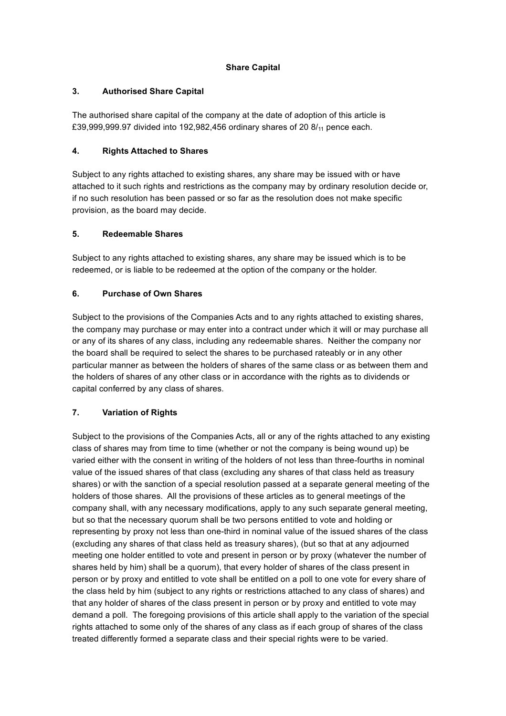## **Share Capital**

## **3. Authorised Share Capital**

The authorised share capital of the company at the date of adoption of this article is £39,999,999.97 divided into 192,982,456 ordinary shares of 20 8/<sub>11</sub> pence each.

## **4. Rights Attached to Shares**

Subject to any rights attached to existing shares, any share may be issued with or have attached to it such rights and restrictions as the company may by ordinary resolution decide or, if no such resolution has been passed or so far as the resolution does not make specific provision, as the board may decide.

## **5. Redeemable Shares**

Subject to any rights attached to existing shares, any share may be issued which is to be redeemed, or is liable to be redeemed at the option of the company or the holder.

# **6. Purchase of Own Shares**

Subject to the provisions of the Companies Acts and to any rights attached to existing shares, the company may purchase or may enter into a contract under which it will or may purchase all or any of its shares of any class, including any redeemable shares. Neither the company nor the board shall be required to select the shares to be purchased rateably or in any other particular manner as between the holders of shares of the same class or as between them and the holders of shares of any other class or in accordance with the rights as to dividends or capital conferred by any class of shares.

# **7. Variation of Rights**

Subject to the provisions of the Companies Acts, all or any of the rights attached to any existing class of shares may from time to time (whether or not the company is being wound up) be varied either with the consent in writing of the holders of not less than three-fourths in nominal value of the issued shares of that class (excluding any shares of that class held as treasury shares) or with the sanction of a special resolution passed at a separate general meeting of the holders of those shares. All the provisions of these articles as to general meetings of the company shall, with any necessary modifications, apply to any such separate general meeting, but so that the necessary quorum shall be two persons entitled to vote and holding or representing by proxy not less than one-third in nominal value of the issued shares of the class (excluding any shares of that class held as treasury shares), (but so that at any adjourned meeting one holder entitled to vote and present in person or by proxy (whatever the number of shares held by him) shall be a quorum), that every holder of shares of the class present in person or by proxy and entitled to vote shall be entitled on a poll to one vote for every share of the class held by him (subject to any rights or restrictions attached to any class of shares) and that any holder of shares of the class present in person or by proxy and entitled to vote may demand a poll. The foregoing provisions of this article shall apply to the variation of the special rights attached to some only of the shares of any class as if each group of shares of the class treated differently formed a separate class and their special rights were to be varied.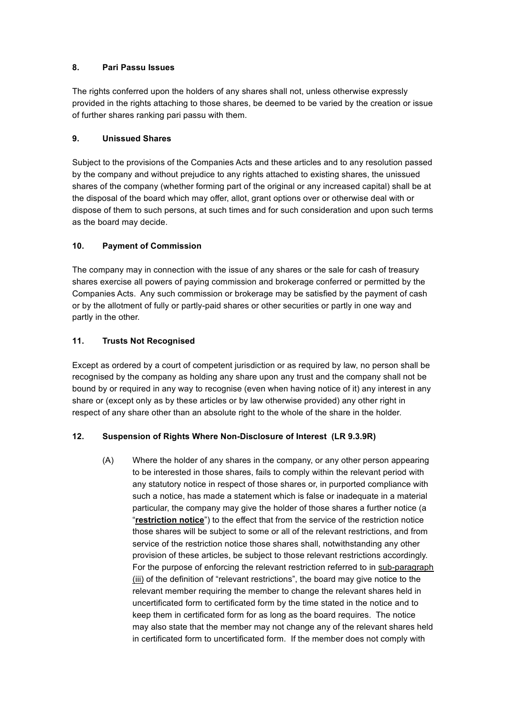## **8. Pari Passu Issues**

The rights conferred upon the holders of any shares shall not, unless otherwise expressly provided in the rights attaching to those shares, be deemed to be varied by the creation or issue of further shares ranking pari passu with them.

## **9. Unissued Shares**

Subject to the provisions of the Companies Acts and these articles and to any resolution passed by the company and without prejudice to any rights attached to existing shares, the unissued shares of the company (whether forming part of the original or any increased capital) shall be at the disposal of the board which may offer, allot, grant options over or otherwise deal with or dispose of them to such persons, at such times and for such consideration and upon such terms as the board may decide.

# **10. Payment of Commission**

The company may in connection with the issue of any shares or the sale for cash of treasury shares exercise all powers of paying commission and brokerage conferred or permitted by the Companies Acts. Any such commission or brokerage may be satisfied by the payment of cash or by the allotment of fully or partly-paid shares or other securities or partly in one way and partly in the other.

## **11. Trusts Not Recognised**

Except as ordered by a court of competent jurisdiction or as required by law, no person shall be recognised by the company as holding any share upon any trust and the company shall not be bound by or required in any way to recognise (even when having notice of it) any interest in any share or (except only as by these articles or by law otherwise provided) any other right in respect of any share other than an absolute right to the whole of the share in the holder.

# **12. Suspension of Rights Where Non-Disclosure of Interest (LR 9.3.9R)**

(A) Where the holder of any shares in the company, or any other person appearing to be interested in those shares, fails to comply within the relevant period with any statutory notice in respect of those shares or, in purported compliance with such a notice, has made a statement which is false or inadequate in a material particular, the company may give the holder of those shares a further notice (a "**restriction notice**") to the effect that from the service of the restriction notice those shares will be subject to some or all of the relevant restrictions, and from service of the restriction notice those shares shall, notwithstanding any other provision of these articles, be subject to those relevant restrictions accordingly. For the purpose of enforcing the relevant restriction referred to in sub-paragraph (iii) of the definition of "relevant restrictions", the board may give notice to the relevant member requiring the member to change the relevant shares held in uncertificated form to certificated form by the time stated in the notice and to keep them in certificated form for as long as the board requires. The notice may also state that the member may not change any of the relevant shares held in certificated form to uncertificated form. If the member does not comply with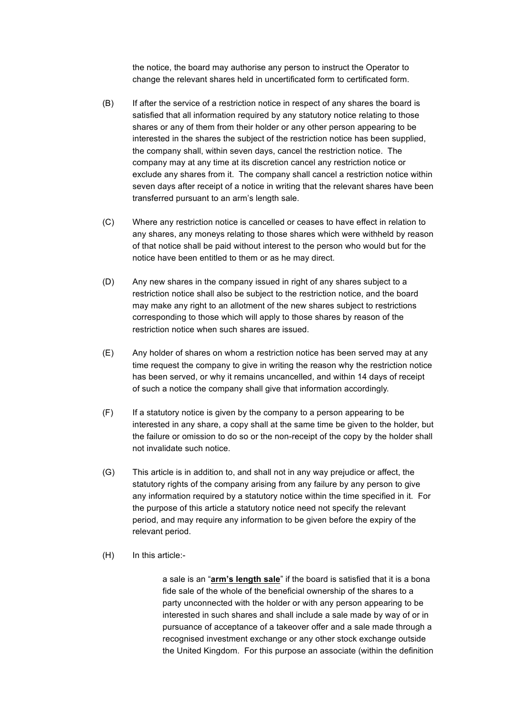the notice, the board may authorise any person to instruct the Operator to change the relevant shares held in uncertificated form to certificated form.

- (B) If after the service of a restriction notice in respect of any shares the board is satisfied that all information required by any statutory notice relating to those shares or any of them from their holder or any other person appearing to be interested in the shares the subject of the restriction notice has been supplied, the company shall, within seven days, cancel the restriction notice. The company may at any time at its discretion cancel any restriction notice or exclude any shares from it. The company shall cancel a restriction notice within seven days after receipt of a notice in writing that the relevant shares have been transferred pursuant to an arm's length sale.
- (C) Where any restriction notice is cancelled or ceases to have effect in relation to any shares, any moneys relating to those shares which were withheld by reason of that notice shall be paid without interest to the person who would but for the notice have been entitled to them or as he may direct.
- (D) Any new shares in the company issued in right of any shares subject to a restriction notice shall also be subject to the restriction notice, and the board may make any right to an allotment of the new shares subject to restrictions corresponding to those which will apply to those shares by reason of the restriction notice when such shares are issued.
- (E) Any holder of shares on whom a restriction notice has been served may at any time request the company to give in writing the reason why the restriction notice has been served, or why it remains uncancelled, and within 14 days of receipt of such a notice the company shall give that information accordingly.
- (F) If a statutory notice is given by the company to a person appearing to be interested in any share, a copy shall at the same time be given to the holder, but the failure or omission to do so or the non-receipt of the copy by the holder shall not invalidate such notice.
- (G) This article is in addition to, and shall not in any way prejudice or affect, the statutory rights of the company arising from any failure by any person to give any information required by a statutory notice within the time specified in it. For the purpose of this article a statutory notice need not specify the relevant period, and may require any information to be given before the expiry of the relevant period.
- (H) In this article:-

a sale is an "**arm's length sale**" if the board is satisfied that it is a bona fide sale of the whole of the beneficial ownership of the shares to a party unconnected with the holder or with any person appearing to be interested in such shares and shall include a sale made by way of or in pursuance of acceptance of a takeover offer and a sale made through a recognised investment exchange or any other stock exchange outside the United Kingdom. For this purpose an associate (within the definition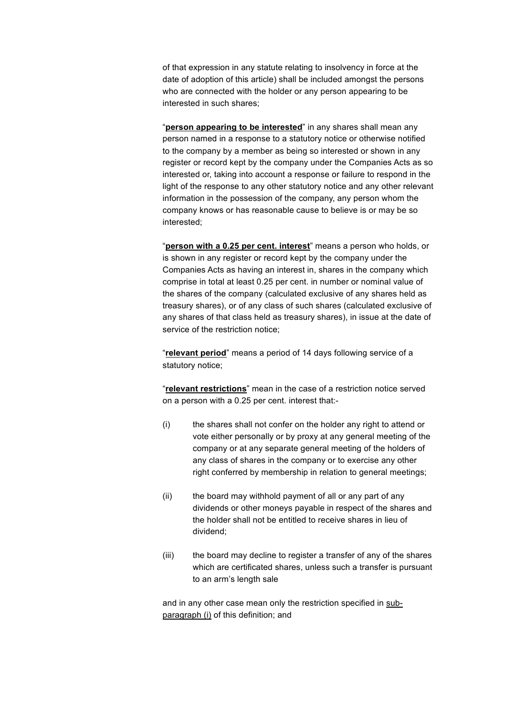of that expression in any statute relating to insolvency in force at the date of adoption of this article) shall be included amongst the persons who are connected with the holder or any person appearing to be interested in such shares;

"**person appearing to be interested**" in any shares shall mean any person named in a response to a statutory notice or otherwise notified to the company by a member as being so interested or shown in any register or record kept by the company under the Companies Acts as so interested or, taking into account a response or failure to respond in the light of the response to any other statutory notice and any other relevant information in the possession of the company, any person whom the company knows or has reasonable cause to believe is or may be so interested;

"**person with a 0.25 per cent. interest**" means a person who holds, or is shown in any register or record kept by the company under the Companies Acts as having an interest in, shares in the company which comprise in total at least 0.25 per cent. in number or nominal value of the shares of the company (calculated exclusive of any shares held as treasury shares), or of any class of such shares (calculated exclusive of any shares of that class held as treasury shares), in issue at the date of service of the restriction notice;

"**relevant period**" means a period of 14 days following service of a statutory notice;

"**relevant restrictions**" mean in the case of a restriction notice served on a person with a 0.25 per cent. interest that:-

- (i) the shares shall not confer on the holder any right to attend or vote either personally or by proxy at any general meeting of the company or at any separate general meeting of the holders of any class of shares in the company or to exercise any other right conferred by membership in relation to general meetings;
- (ii) the board may withhold payment of all or any part of any dividends or other moneys payable in respect of the shares and the holder shall not be entitled to receive shares in lieu of dividend;
- (iii) the board may decline to register a transfer of any of the shares which are certificated shares, unless such a transfer is pursuant to an arm's length sale

and in any other case mean only the restriction specified in subparagraph (i) of this definition; and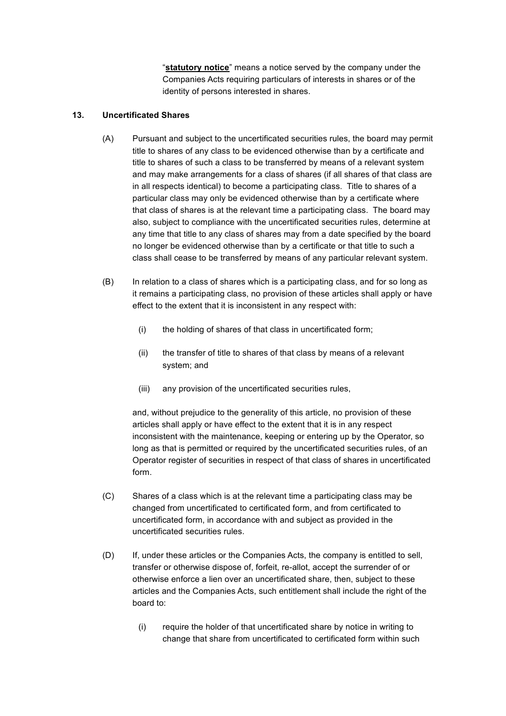"**statutory notice**" means a notice served by the company under the Companies Acts requiring particulars of interests in shares or of the identity of persons interested in shares.

## **13. Uncertificated Shares**

- (A) Pursuant and subject to the uncertificated securities rules, the board may permit title to shares of any class to be evidenced otherwise than by a certificate and title to shares of such a class to be transferred by means of a relevant system and may make arrangements for a class of shares (if all shares of that class are in all respects identical) to become a participating class. Title to shares of a particular class may only be evidenced otherwise than by a certificate where that class of shares is at the relevant time a participating class. The board may also, subject to compliance with the uncertificated securities rules, determine at any time that title to any class of shares may from a date specified by the board no longer be evidenced otherwise than by a certificate or that title to such a class shall cease to be transferred by means of any particular relevant system.
- (B) In relation to a class of shares which is a participating class, and for so long as it remains a participating class, no provision of these articles shall apply or have effect to the extent that it is inconsistent in any respect with:
	- (i) the holding of shares of that class in uncertificated form;
	- (ii) the transfer of title to shares of that class by means of a relevant system; and
	- (iii) any provision of the uncertificated securities rules,

and, without prejudice to the generality of this article, no provision of these articles shall apply or have effect to the extent that it is in any respect inconsistent with the maintenance, keeping or entering up by the Operator, so long as that is permitted or required by the uncertificated securities rules, of an Operator register of securities in respect of that class of shares in uncertificated form.

- (C) Shares of a class which is at the relevant time a participating class may be changed from uncertificated to certificated form, and from certificated to uncertificated form, in accordance with and subject as provided in the uncertificated securities rules.
- (D) If, under these articles or the Companies Acts, the company is entitled to sell, transfer or otherwise dispose of, forfeit, re-allot, accept the surrender of or otherwise enforce a lien over an uncertificated share, then, subject to these articles and the Companies Acts, such entitlement shall include the right of the board to:
	- (i) require the holder of that uncertificated share by notice in writing to change that share from uncertificated to certificated form within such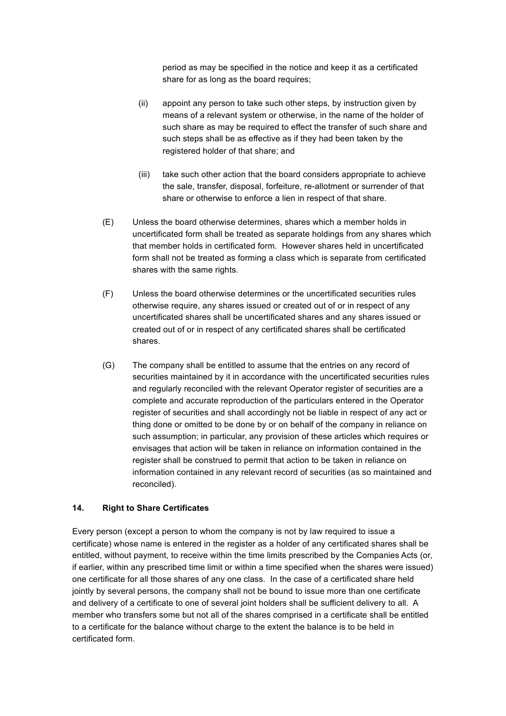period as may be specified in the notice and keep it as a certificated share for as long as the board requires;

- (ii) appoint any person to take such other steps, by instruction given by means of a relevant system or otherwise, in the name of the holder of such share as may be required to effect the transfer of such share and such steps shall be as effective as if they had been taken by the registered holder of that share; and
- (iii) take such other action that the board considers appropriate to achieve the sale, transfer, disposal, forfeiture, re-allotment or surrender of that share or otherwise to enforce a lien in respect of that share.
- (E) Unless the board otherwise determines, shares which a member holds in uncertificated form shall be treated as separate holdings from any shares which that member holds in certificated form. However shares held in uncertificated form shall not be treated as forming a class which is separate from certificated shares with the same rights.
- (F) Unless the board otherwise determines or the uncertificated securities rules otherwise require, any shares issued or created out of or in respect of any uncertificated shares shall be uncertificated shares and any shares issued or created out of or in respect of any certificated shares shall be certificated shares.
- (G) The company shall be entitled to assume that the entries on any record of securities maintained by it in accordance with the uncertificated securities rules and regularly reconciled with the relevant Operator register of securities are a complete and accurate reproduction of the particulars entered in the Operator register of securities and shall accordingly not be liable in respect of any act or thing done or omitted to be done by or on behalf of the company in reliance on such assumption; in particular, any provision of these articles which requires or envisages that action will be taken in reliance on information contained in the register shall be construed to permit that action to be taken in reliance on information contained in any relevant record of securities (as so maintained and reconciled).

### **14. Right to Share Certificates**

Every person (except a person to whom the company is not by law required to issue a certificate) whose name is entered in the register as a holder of any certificated shares shall be entitled, without payment, to receive within the time limits prescribed by the Companies Acts (or, if earlier, within any prescribed time limit or within a time specified when the shares were issued) one certificate for all those shares of any one class. In the case of a certificated share held jointly by several persons, the company shall not be bound to issue more than one certificate and delivery of a certificate to one of several joint holders shall be sufficient delivery to all. A member who transfers some but not all of the shares comprised in a certificate shall be entitled to a certificate for the balance without charge to the extent the balance is to be held in certificated form.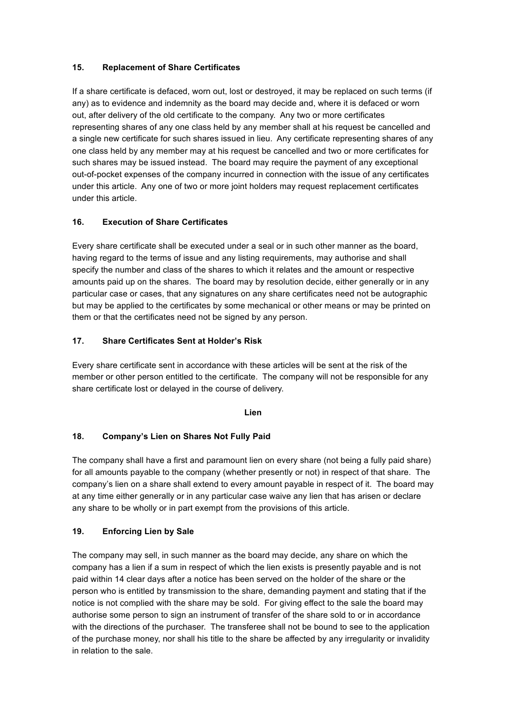## **15. Replacement of Share Certificates**

If a share certificate is defaced, worn out, lost or destroyed, it may be replaced on such terms (if any) as to evidence and indemnity as the board may decide and, where it is defaced or worn out, after delivery of the old certificate to the company. Any two or more certificates representing shares of any one class held by any member shall at his request be cancelled and a single new certificate for such shares issued in lieu. Any certificate representing shares of any one class held by any member may at his request be cancelled and two or more certificates for such shares may be issued instead. The board may require the payment of any exceptional out-of-pocket expenses of the company incurred in connection with the issue of any certificates under this article. Any one of two or more joint holders may request replacement certificates under this article.

# **16. Execution of Share Certificates**

Every share certificate shall be executed under a seal or in such other manner as the board, having regard to the terms of issue and any listing requirements, may authorise and shall specify the number and class of the shares to which it relates and the amount or respective amounts paid up on the shares. The board may by resolution decide, either generally or in any particular case or cases, that any signatures on any share certificates need not be autographic but may be applied to the certificates by some mechanical or other means or may be printed on them or that the certificates need not be signed by any person.

# **17. Share Certificates Sent at Holder's Risk**

Every share certificate sent in accordance with these articles will be sent at the risk of the member or other person entitled to the certificate. The company will not be responsible for any share certificate lost or delayed in the course of delivery.

### **Lien**

# **18. Company's Lien on Shares Not Fully Paid**

The company shall have a first and paramount lien on every share (not being a fully paid share) for all amounts payable to the company (whether presently or not) in respect of that share. The company's lien on a share shall extend to every amount payable in respect of it. The board may at any time either generally or in any particular case waive any lien that has arisen or declare any share to be wholly or in part exempt from the provisions of this article.

# **19. Enforcing Lien by Sale**

The company may sell, in such manner as the board may decide, any share on which the company has a lien if a sum in respect of which the lien exists is presently payable and is not paid within 14 clear days after a notice has been served on the holder of the share or the person who is entitled by transmission to the share, demanding payment and stating that if the notice is not complied with the share may be sold. For giving effect to the sale the board may authorise some person to sign an instrument of transfer of the share sold to or in accordance with the directions of the purchaser. The transferee shall not be bound to see to the application of the purchase money, nor shall his title to the share be affected by any irregularity or invalidity in relation to the sale.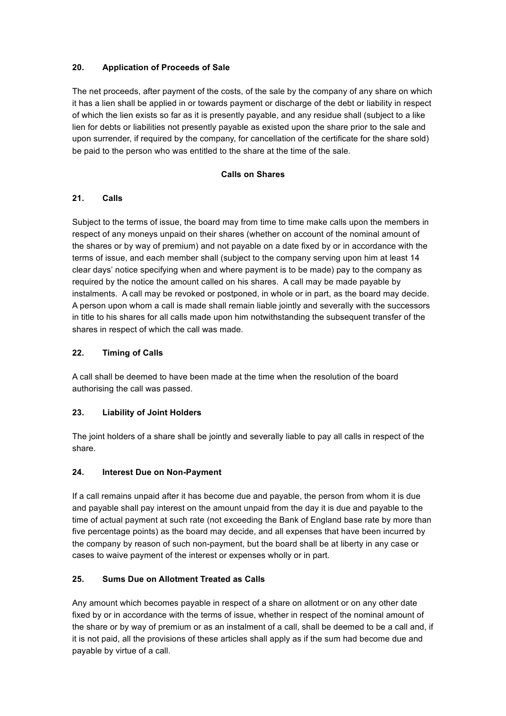# **20. Application of Proceeds of Sale**

The net proceeds, after payment of the costs, of the sale by the company of any share on which it has a lien shall be applied in or towards payment or discharge of the debt or liability in respect of which the lien exists so far as it is presently payable, and any residue shall (subject to a like lien for debts or liabilities not presently payable as existed upon the share prior to the sale and upon surrender, if required by the company, for cancellation of the certificate for the share sold) be paid to the person who was entitled to the share at the time of the sale.

## **Calls on Shares**

## **21. Calls**

Subject to the terms of issue, the board may from time to time make calls upon the members in respect of any moneys unpaid on their shares (whether on account of the nominal amount of the shares or by way of premium) and not payable on a date fixed by or in accordance with the terms of issue, and each member shall (subject to the company serving upon him at least 14 clear days' notice specifying when and where payment is to be made) pay to the company as required by the notice the amount called on his shares. A call may be made payable by instalments. A call may be revoked or postponed, in whole or in part, as the board may decide. A person upon whom a call is made shall remain liable jointly and severally with the successors in title to his shares for all calls made upon him notwithstanding the subsequent transfer of the shares in respect of which the call was made.

### **22. Timing of Calls**

A call shall be deemed to have been made at the time when the resolution of the board authorising the call was passed.

### **23. Liability of Joint Holders**

The joint holders of a share shall be jointly and severally liable to pay all calls in respect of the share.

### **24. Interest Due on Non-Payment**

If a call remains unpaid after it has become due and payable, the person from whom it is due and payable shall pay interest on the amount unpaid from the day it is due and payable to the time of actual payment at such rate (not exceeding the Bank of England base rate by more than five percentage points) as the board may decide, and all expenses that have been incurred by the company by reason of such non-payment, but the board shall be at liberty in any case or cases to waive payment of the interest or expenses wholly or in part.

# **25. Sums Due on Allotment Treated as Calls**

Any amount which becomes payable in respect of a share on allotment or on any other date fixed by or in accordance with the terms of issue, whether in respect of the nominal amount of the share or by way of premium or as an instalment of a call, shall be deemed to be a call and, if it is not paid, all the provisions of these articles shall apply as if the sum had become due and payable by virtue of a call.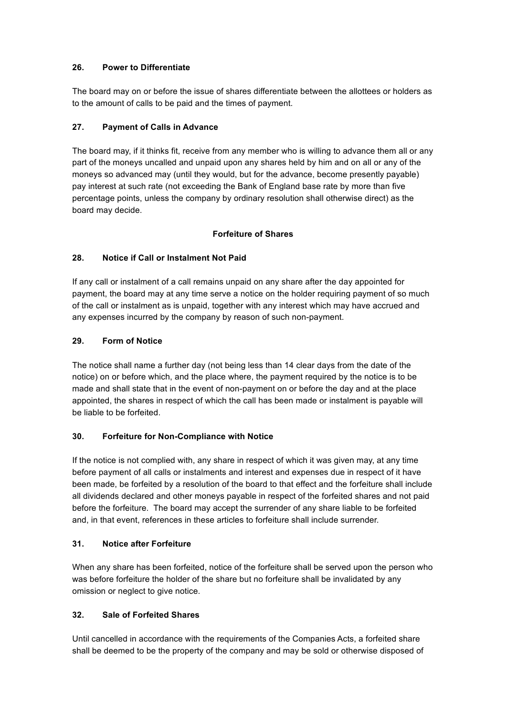# **26. Power to Differentiate**

The board may on or before the issue of shares differentiate between the allottees or holders as to the amount of calls to be paid and the times of payment.

## **27. Payment of Calls in Advance**

The board may, if it thinks fit, receive from any member who is willing to advance them all or any part of the moneys uncalled and unpaid upon any shares held by him and on all or any of the moneys so advanced may (until they would, but for the advance, become presently payable) pay interest at such rate (not exceeding the Bank of England base rate by more than five percentage points, unless the company by ordinary resolution shall otherwise direct) as the board may decide.

## **Forfeiture of Shares**

# **28. Notice if Call or Instalment Not Paid**

If any call or instalment of a call remains unpaid on any share after the day appointed for payment, the board may at any time serve a notice on the holder requiring payment of so much of the call or instalment as is unpaid, together with any interest which may have accrued and any expenses incurred by the company by reason of such non-payment.

## **29. Form of Notice**

The notice shall name a further day (not being less than 14 clear days from the date of the notice) on or before which, and the place where, the payment required by the notice is to be made and shall state that in the event of non-payment on or before the day and at the place appointed, the shares in respect of which the call has been made or instalment is payable will be liable to be forfeited.

### **30. Forfeiture for Non-Compliance with Notice**

If the notice is not complied with, any share in respect of which it was given may, at any time before payment of all calls or instalments and interest and expenses due in respect of it have been made, be forfeited by a resolution of the board to that effect and the forfeiture shall include all dividends declared and other moneys payable in respect of the forfeited shares and not paid before the forfeiture. The board may accept the surrender of any share liable to be forfeited and, in that event, references in these articles to forfeiture shall include surrender.

# **31. Notice after Forfeiture**

When any share has been forfeited, notice of the forfeiture shall be served upon the person who was before forfeiture the holder of the share but no forfeiture shall be invalidated by any omission or neglect to give notice.

# **32. Sale of Forfeited Shares**

Until cancelled in accordance with the requirements of the Companies Acts, a forfeited share shall be deemed to be the property of the company and may be sold or otherwise disposed of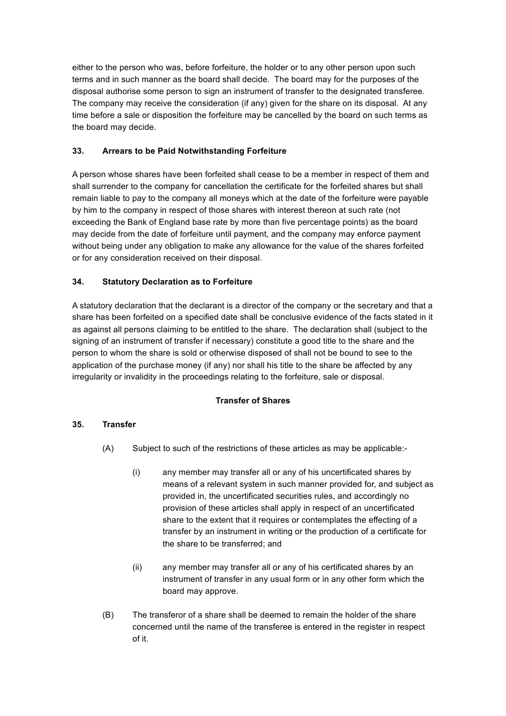either to the person who was, before forfeiture, the holder or to any other person upon such terms and in such manner as the board shall decide. The board may for the purposes of the disposal authorise some person to sign an instrument of transfer to the designated transferee. The company may receive the consideration (if any) given for the share on its disposal. At any time before a sale or disposition the forfeiture may be cancelled by the board on such terms as the board may decide.

# **33. Arrears to be Paid Notwithstanding Forfeiture**

A person whose shares have been forfeited shall cease to be a member in respect of them and shall surrender to the company for cancellation the certificate for the forfeited shares but shall remain liable to pay to the company all moneys which at the date of the forfeiture were payable by him to the company in respect of those shares with interest thereon at such rate (not exceeding the Bank of England base rate by more than five percentage points) as the board may decide from the date of forfeiture until payment, and the company may enforce payment without being under any obligation to make any allowance for the value of the shares forfeited or for any consideration received on their disposal.

# **34. Statutory Declaration as to Forfeiture**

A statutory declaration that the declarant is a director of the company or the secretary and that a share has been forfeited on a specified date shall be conclusive evidence of the facts stated in it as against all persons claiming to be entitled to the share. The declaration shall (subject to the signing of an instrument of transfer if necessary) constitute a good title to the share and the person to whom the share is sold or otherwise disposed of shall not be bound to see to the application of the purchase money (if any) nor shall his title to the share be affected by any irregularity or invalidity in the proceedings relating to the forfeiture, sale or disposal.

# **Transfer of Shares**

# **35. Transfer**

- (A) Subject to such of the restrictions of these articles as may be applicable:-
	- (i) any member may transfer all or any of his uncertificated shares by means of a relevant system in such manner provided for, and subject as provided in, the uncertificated securities rules, and accordingly no provision of these articles shall apply in respect of an uncertificated share to the extent that it requires or contemplates the effecting of a transfer by an instrument in writing or the production of a certificate for the share to be transferred; and
	- (ii) any member may transfer all or any of his certificated shares by an instrument of transfer in any usual form or in any other form which the board may approve.
- (B) The transferor of a share shall be deemed to remain the holder of the share concerned until the name of the transferee is entered in the register in respect of it.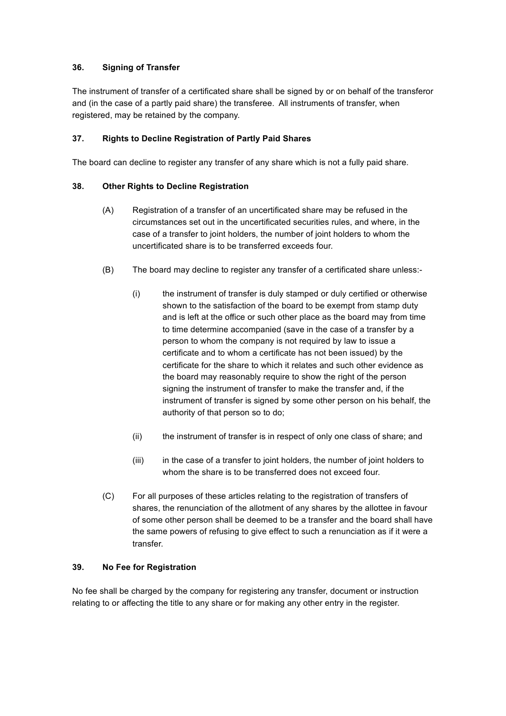# **36. Signing of Transfer**

The instrument of transfer of a certificated share shall be signed by or on behalf of the transferor and (in the case of a partly paid share) the transferee. All instruments of transfer, when registered, may be retained by the company.

## **37. Rights to Decline Registration of Partly Paid Shares**

The board can decline to register any transfer of any share which is not a fully paid share.

## **38. Other Rights to Decline Registration**

- (A) Registration of a transfer of an uncertificated share may be refused in the circumstances set out in the uncertificated securities rules, and where, in the case of a transfer to joint holders, the number of joint holders to whom the uncertificated share is to be transferred exceeds four.
- (B) The board may decline to register any transfer of a certificated share unless:-
	- (i) the instrument of transfer is duly stamped or duly certified or otherwise shown to the satisfaction of the board to be exempt from stamp duty and is left at the office or such other place as the board may from time to time determine accompanied (save in the case of a transfer by a person to whom the company is not required by law to issue a certificate and to whom a certificate has not been issued) by the certificate for the share to which it relates and such other evidence as the board may reasonably require to show the right of the person signing the instrument of transfer to make the transfer and, if the instrument of transfer is signed by some other person on his behalf, the authority of that person so to do;
	- (ii) the instrument of transfer is in respect of only one class of share; and
	- (iii) in the case of a transfer to joint holders, the number of joint holders to whom the share is to be transferred does not exceed four.
- (C) For all purposes of these articles relating to the registration of transfers of shares, the renunciation of the allotment of any shares by the allottee in favour of some other person shall be deemed to be a transfer and the board shall have the same powers of refusing to give effect to such a renunciation as if it were a transfer.

### **39. No Fee for Registration**

No fee shall be charged by the company for registering any transfer, document or instruction relating to or affecting the title to any share or for making any other entry in the register.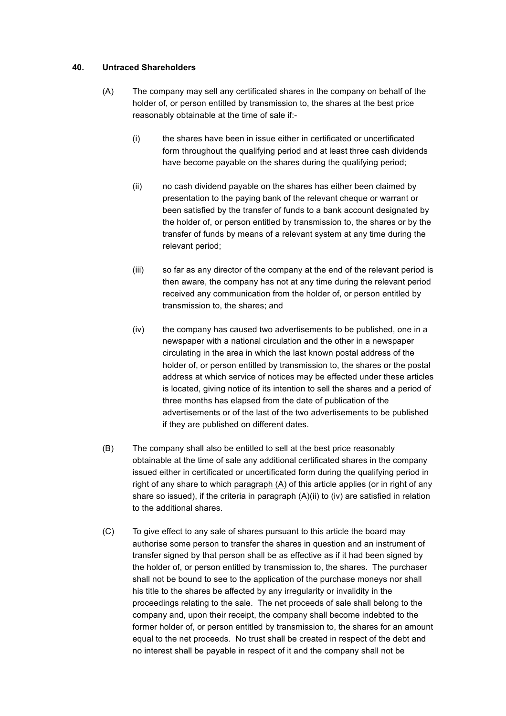### **40. Untraced Shareholders**

- (A) The company may sell any certificated shares in the company on behalf of the holder of, or person entitled by transmission to, the shares at the best price reasonably obtainable at the time of sale if:-
	- (i) the shares have been in issue either in certificated or uncertificated form throughout the qualifying period and at least three cash dividends have become payable on the shares during the qualifying period;
	- (ii) no cash dividend payable on the shares has either been claimed by presentation to the paying bank of the relevant cheque or warrant or been satisfied by the transfer of funds to a bank account designated by the holder of, or person entitled by transmission to, the shares or by the transfer of funds by means of a relevant system at any time during the relevant period;
	- (iii) so far as any director of the company at the end of the relevant period is then aware, the company has not at any time during the relevant period received any communication from the holder of, or person entitled by transmission to, the shares; and
	- (iv) the company has caused two advertisements to be published, one in a newspaper with a national circulation and the other in a newspaper circulating in the area in which the last known postal address of the holder of, or person entitled by transmission to, the shares or the postal address at which service of notices may be effected under these articles is located, giving notice of its intention to sell the shares and a period of three months has elapsed from the date of publication of the advertisements or of the last of the two advertisements to be published if they are published on different dates.
- (B) The company shall also be entitled to sell at the best price reasonably obtainable at the time of sale any additional certificated shares in the company issued either in certificated or uncertificated form during the qualifying period in right of any share to which paragraph (A) of this article applies (or in right of any share so issued), if the criteria in paragraph  $(A)(ii)$  to  $(iv)$  are satisfied in relation to the additional shares.
- (C) To give effect to any sale of shares pursuant to this article the board may authorise some person to transfer the shares in question and an instrument of transfer signed by that person shall be as effective as if it had been signed by the holder of, or person entitled by transmission to, the shares. The purchaser shall not be bound to see to the application of the purchase moneys nor shall his title to the shares be affected by any irregularity or invalidity in the proceedings relating to the sale. The net proceeds of sale shall belong to the company and, upon their receipt, the company shall become indebted to the former holder of, or person entitled by transmission to, the shares for an amount equal to the net proceeds. No trust shall be created in respect of the debt and no interest shall be payable in respect of it and the company shall not be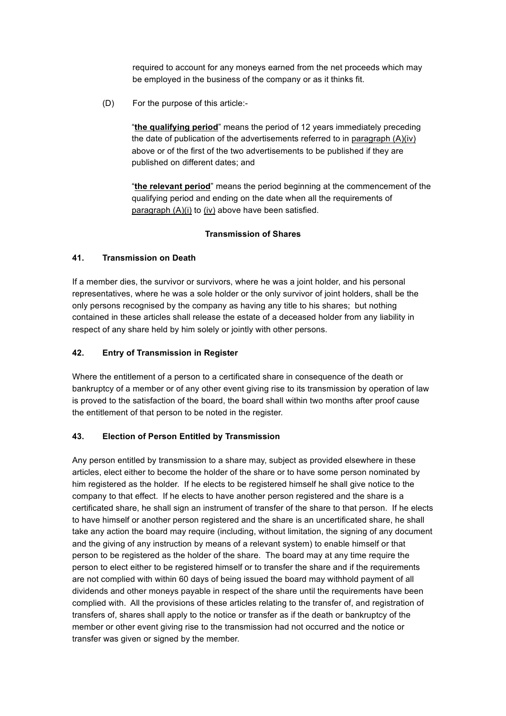required to account for any moneys earned from the net proceeds which may be employed in the business of the company or as it thinks fit.

(D) For the purpose of this article:-

"**the qualifying period**" means the period of 12 years immediately preceding the date of publication of the advertisements referred to in paragraph (A)(iv) above or of the first of the two advertisements to be published if they are published on different dates; and

"**the relevant period**" means the period beginning at the commencement of the qualifying period and ending on the date when all the requirements of paragraph  $(A)(i)$  to  $(iv)$  above have been satisfied.

## **Transmission of Shares**

## **41. Transmission on Death**

If a member dies, the survivor or survivors, where he was a joint holder, and his personal representatives, where he was a sole holder or the only survivor of joint holders, shall be the only persons recognised by the company as having any title to his shares; but nothing contained in these articles shall release the estate of a deceased holder from any liability in respect of any share held by him solely or jointly with other persons.

## **42. Entry of Transmission in Register**

Where the entitlement of a person to a certificated share in consequence of the death or bankruptcy of a member or of any other event giving rise to its transmission by operation of law is proved to the satisfaction of the board, the board shall within two months after proof cause the entitlement of that person to be noted in the register.

### **43. Election of Person Entitled by Transmission**

Any person entitled by transmission to a share may, subject as provided elsewhere in these articles, elect either to become the holder of the share or to have some person nominated by him registered as the holder. If he elects to be registered himself he shall give notice to the company to that effect. If he elects to have another person registered and the share is a certificated share, he shall sign an instrument of transfer of the share to that person. If he elects to have himself or another person registered and the share is an uncertificated share, he shall take any action the board may require (including, without limitation, the signing of any document and the giving of any instruction by means of a relevant system) to enable himself or that person to be registered as the holder of the share. The board may at any time require the person to elect either to be registered himself or to transfer the share and if the requirements are not complied with within 60 days of being issued the board may withhold payment of all dividends and other moneys payable in respect of the share until the requirements have been complied with. All the provisions of these articles relating to the transfer of, and registration of transfers of, shares shall apply to the notice or transfer as if the death or bankruptcy of the member or other event giving rise to the transmission had not occurred and the notice or transfer was given or signed by the member.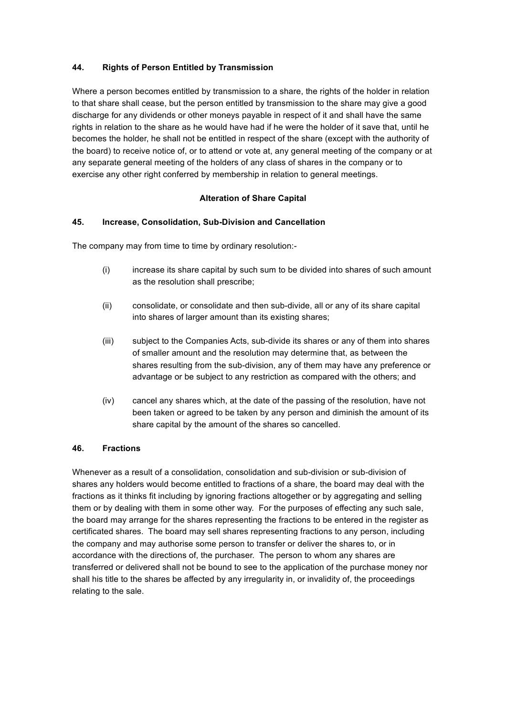## **44. Rights of Person Entitled by Transmission**

Where a person becomes entitled by transmission to a share, the rights of the holder in relation to that share shall cease, but the person entitled by transmission to the share may give a good discharge for any dividends or other moneys payable in respect of it and shall have the same rights in relation to the share as he would have had if he were the holder of it save that, until he becomes the holder, he shall not be entitled in respect of the share (except with the authority of the board) to receive notice of, or to attend or vote at, any general meeting of the company or at any separate general meeting of the holders of any class of shares in the company or to exercise any other right conferred by membership in relation to general meetings.

### **Alteration of Share Capital**

## **45. Increase, Consolidation, Sub-Division and Cancellation**

The company may from time to time by ordinary resolution:-

- (i) increase its share capital by such sum to be divided into shares of such amount as the resolution shall prescribe;
- (ii) consolidate, or consolidate and then sub-divide, all or any of its share capital into shares of larger amount than its existing shares;
- (iii) subject to the Companies Acts, sub-divide its shares or any of them into shares of smaller amount and the resolution may determine that, as between the shares resulting from the sub-division, any of them may have any preference or advantage or be subject to any restriction as compared with the others; and
- (iv) cancel any shares which, at the date of the passing of the resolution, have not been taken or agreed to be taken by any person and diminish the amount of its share capital by the amount of the shares so cancelled.

### **46. Fractions**

Whenever as a result of a consolidation, consolidation and sub-division or sub-division of shares any holders would become entitled to fractions of a share, the board may deal with the fractions as it thinks fit including by ignoring fractions altogether or by aggregating and selling them or by dealing with them in some other way. For the purposes of effecting any such sale, the board may arrange for the shares representing the fractions to be entered in the register as certificated shares. The board may sell shares representing fractions to any person, including the company and may authorise some person to transfer or deliver the shares to, or in accordance with the directions of, the purchaser. The person to whom any shares are transferred or delivered shall not be bound to see to the application of the purchase money nor shall his title to the shares be affected by any irregularity in, or invalidity of, the proceedings relating to the sale.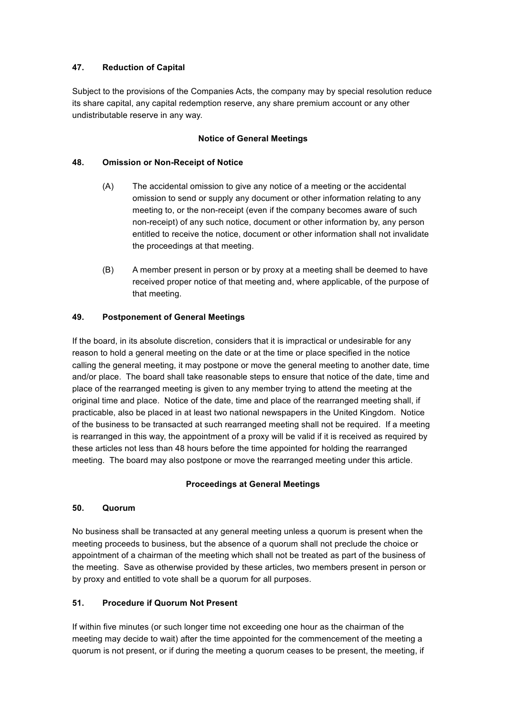# **47. Reduction of Capital**

Subject to the provisions of the Companies Acts, the company may by special resolution reduce its share capital, any capital redemption reserve, any share premium account or any other undistributable reserve in any way.

## **Notice of General Meetings**

## **48. Omission or Non-Receipt of Notice**

- (A) The accidental omission to give any notice of a meeting or the accidental omission to send or supply any document or other information relating to any meeting to, or the non-receipt (even if the company becomes aware of such non-receipt) of any such notice, document or other information by, any person entitled to receive the notice, document or other information shall not invalidate the proceedings at that meeting.
- (B) A member present in person or by proxy at a meeting shall be deemed to have received proper notice of that meeting and, where applicable, of the purpose of that meeting.

## **49. Postponement of General Meetings**

If the board, in its absolute discretion, considers that it is impractical or undesirable for any reason to hold a general meeting on the date or at the time or place specified in the notice calling the general meeting, it may postpone or move the general meeting to another date, time and/or place. The board shall take reasonable steps to ensure that notice of the date, time and place of the rearranged meeting is given to any member trying to attend the meeting at the original time and place. Notice of the date, time and place of the rearranged meeting shall, if practicable, also be placed in at least two national newspapers in the United Kingdom. Notice of the business to be transacted at such rearranged meeting shall not be required. If a meeting is rearranged in this way, the appointment of a proxy will be valid if it is received as required by these articles not less than 48 hours before the time appointed for holding the rearranged meeting. The board may also postpone or move the rearranged meeting under this article.

### **Proceedings at General Meetings**

## **50. Quorum**

No business shall be transacted at any general meeting unless a quorum is present when the meeting proceeds to business, but the absence of a quorum shall not preclude the choice or appointment of a chairman of the meeting which shall not be treated as part of the business of the meeting. Save as otherwise provided by these articles, two members present in person or by proxy and entitled to vote shall be a quorum for all purposes.

# **51. Procedure if Quorum Not Present**

If within five minutes (or such longer time not exceeding one hour as the chairman of the meeting may decide to wait) after the time appointed for the commencement of the meeting a quorum is not present, or if during the meeting a quorum ceases to be present, the meeting, if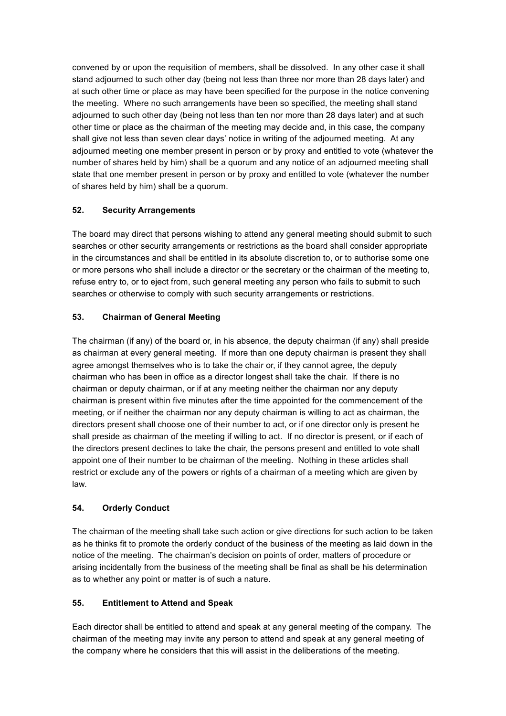convened by or upon the requisition of members, shall be dissolved. In any other case it shall stand adjourned to such other day (being not less than three nor more than 28 days later) and at such other time or place as may have been specified for the purpose in the notice convening the meeting. Where no such arrangements have been so specified, the meeting shall stand adjourned to such other day (being not less than ten nor more than 28 days later) and at such other time or place as the chairman of the meeting may decide and, in this case, the company shall give not less than seven clear days' notice in writing of the adjourned meeting. At any adjourned meeting one member present in person or by proxy and entitled to vote (whatever the number of shares held by him) shall be a quorum and any notice of an adjourned meeting shall state that one member present in person or by proxy and entitled to vote (whatever the number of shares held by him) shall be a quorum.

# **52. Security Arrangements**

The board may direct that persons wishing to attend any general meeting should submit to such searches or other security arrangements or restrictions as the board shall consider appropriate in the circumstances and shall be entitled in its absolute discretion to, or to authorise some one or more persons who shall include a director or the secretary or the chairman of the meeting to, refuse entry to, or to eject from, such general meeting any person who fails to submit to such searches or otherwise to comply with such security arrangements or restrictions.

# **53. Chairman of General Meeting**

The chairman (if any) of the board or, in his absence, the deputy chairman (if any) shall preside as chairman at every general meeting. If more than one deputy chairman is present they shall agree amongst themselves who is to take the chair or, if they cannot agree, the deputy chairman who has been in office as a director longest shall take the chair. If there is no chairman or deputy chairman, or if at any meeting neither the chairman nor any deputy chairman is present within five minutes after the time appointed for the commencement of the meeting, or if neither the chairman nor any deputy chairman is willing to act as chairman, the directors present shall choose one of their number to act, or if one director only is present he shall preside as chairman of the meeting if willing to act. If no director is present, or if each of the directors present declines to take the chair, the persons present and entitled to vote shall appoint one of their number to be chairman of the meeting. Nothing in these articles shall restrict or exclude any of the powers or rights of a chairman of a meeting which are given by law.

# **54. Orderly Conduct**

The chairman of the meeting shall take such action or give directions for such action to be taken as he thinks fit to promote the orderly conduct of the business of the meeting as laid down in the notice of the meeting. The chairman's decision on points of order, matters of procedure or arising incidentally from the business of the meeting shall be final as shall be his determination as to whether any point or matter is of such a nature.

# **55. Entitlement to Attend and Speak**

Each director shall be entitled to attend and speak at any general meeting of the company. The chairman of the meeting may invite any person to attend and speak at any general meeting of the company where he considers that this will assist in the deliberations of the meeting.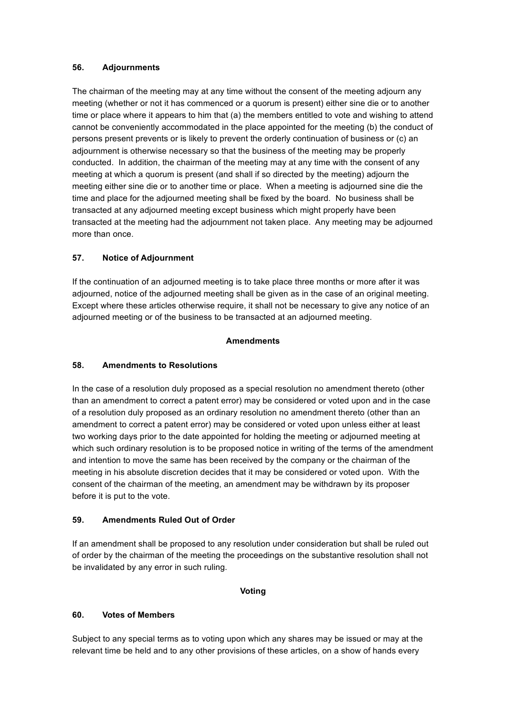## **56. Adjournments**

The chairman of the meeting may at any time without the consent of the meeting adjourn any meeting (whether or not it has commenced or a quorum is present) either sine die or to another time or place where it appears to him that (a) the members entitled to vote and wishing to attend cannot be conveniently accommodated in the place appointed for the meeting (b) the conduct of persons present prevents or is likely to prevent the orderly continuation of business or (c) an adjournment is otherwise necessary so that the business of the meeting may be properly conducted. In addition, the chairman of the meeting may at any time with the consent of any meeting at which a quorum is present (and shall if so directed by the meeting) adjourn the meeting either sine die or to another time or place. When a meeting is adjourned sine die the time and place for the adjourned meeting shall be fixed by the board. No business shall be transacted at any adjourned meeting except business which might properly have been transacted at the meeting had the adjournment not taken place. Any meeting may be adjourned more than once.

# **57. Notice of Adjournment**

If the continuation of an adjourned meeting is to take place three months or more after it was adjourned, notice of the adjourned meeting shall be given as in the case of an original meeting. Except where these articles otherwise require, it shall not be necessary to give any notice of an adjourned meeting or of the business to be transacted at an adjourned meeting.

## **Amendments**

# **58. Amendments to Resolutions**

In the case of a resolution duly proposed as a special resolution no amendment thereto (other than an amendment to correct a patent error) may be considered or voted upon and in the case of a resolution duly proposed as an ordinary resolution no amendment thereto (other than an amendment to correct a patent error) may be considered or voted upon unless either at least two working days prior to the date appointed for holding the meeting or adjourned meeting at which such ordinary resolution is to be proposed notice in writing of the terms of the amendment and intention to move the same has been received by the company or the chairman of the meeting in his absolute discretion decides that it may be considered or voted upon. With the consent of the chairman of the meeting, an amendment may be withdrawn by its proposer before it is put to the vote.

# **59. Amendments Ruled Out of Order**

If an amendment shall be proposed to any resolution under consideration but shall be ruled out of order by the chairman of the meeting the proceedings on the substantive resolution shall not be invalidated by any error in such ruling.

### **Voting**

# **60. Votes of Members**

Subject to any special terms as to voting upon which any shares may be issued or may at the relevant time be held and to any other provisions of these articles, on a show of hands every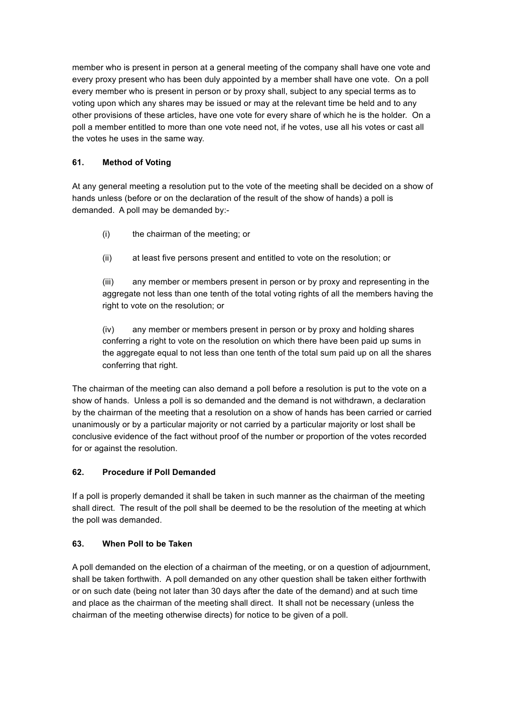member who is present in person at a general meeting of the company shall have one vote and every proxy present who has been duly appointed by a member shall have one vote. On a poll every member who is present in person or by proxy shall, subject to any special terms as to voting upon which any shares may be issued or may at the relevant time be held and to any other provisions of these articles, have one vote for every share of which he is the holder. On a poll a member entitled to more than one vote need not, if he votes, use all his votes or cast all the votes he uses in the same way.

# **61. Method of Voting**

At any general meeting a resolution put to the vote of the meeting shall be decided on a show of hands unless (before or on the declaration of the result of the show of hands) a poll is demanded. A poll may be demanded by:-

- (i) the chairman of the meeting; or
- (ii) at least five persons present and entitled to vote on the resolution; or

(iii) any member or members present in person or by proxy and representing in the aggregate not less than one tenth of the total voting rights of all the members having the right to vote on the resolution; or

(iv) any member or members present in person or by proxy and holding shares conferring a right to vote on the resolution on which there have been paid up sums in the aggregate equal to not less than one tenth of the total sum paid up on all the shares conferring that right.

The chairman of the meeting can also demand a poll before a resolution is put to the vote on a show of hands. Unless a poll is so demanded and the demand is not withdrawn, a declaration by the chairman of the meeting that a resolution on a show of hands has been carried or carried unanimously or by a particular majority or not carried by a particular majority or lost shall be conclusive evidence of the fact without proof of the number or proportion of the votes recorded for or against the resolution.

# **62. Procedure if Poll Demanded**

If a poll is properly demanded it shall be taken in such manner as the chairman of the meeting shall direct. The result of the poll shall be deemed to be the resolution of the meeting at which the poll was demanded.

# **63. When Poll to be Taken**

A poll demanded on the election of a chairman of the meeting, or on a question of adjournment, shall be taken forthwith. A poll demanded on any other question shall be taken either forthwith or on such date (being not later than 30 days after the date of the demand) and at such time and place as the chairman of the meeting shall direct. It shall not be necessary (unless the chairman of the meeting otherwise directs) for notice to be given of a poll.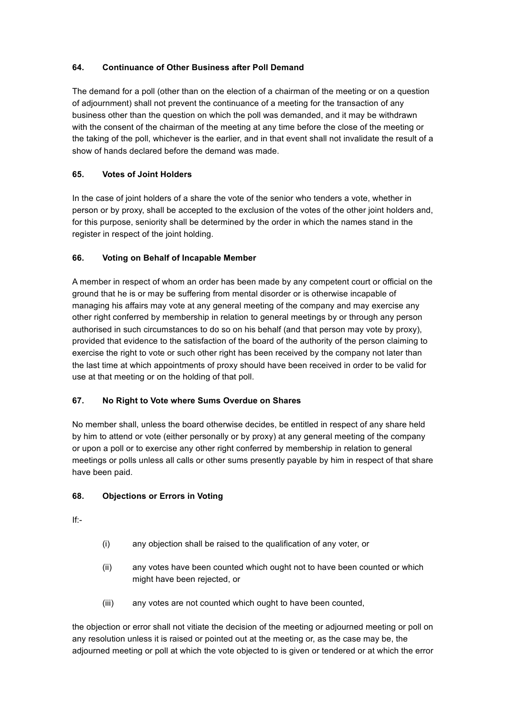# **64. Continuance of Other Business after Poll Demand**

The demand for a poll (other than on the election of a chairman of the meeting or on a question of adjournment) shall not prevent the continuance of a meeting for the transaction of any business other than the question on which the poll was demanded, and it may be withdrawn with the consent of the chairman of the meeting at any time before the close of the meeting or the taking of the poll, whichever is the earlier, and in that event shall not invalidate the result of a show of hands declared before the demand was made.

# **65. Votes of Joint Holders**

In the case of joint holders of a share the vote of the senior who tenders a vote, whether in person or by proxy, shall be accepted to the exclusion of the votes of the other joint holders and, for this purpose, seniority shall be determined by the order in which the names stand in the register in respect of the joint holding.

# **66. Voting on Behalf of Incapable Member**

A member in respect of whom an order has been made by any competent court or official on the ground that he is or may be suffering from mental disorder or is otherwise incapable of managing his affairs may vote at any general meeting of the company and may exercise any other right conferred by membership in relation to general meetings by or through any person authorised in such circumstances to do so on his behalf (and that person may vote by proxy), provided that evidence to the satisfaction of the board of the authority of the person claiming to exercise the right to vote or such other right has been received by the company not later than the last time at which appointments of proxy should have been received in order to be valid for use at that meeting or on the holding of that poll.

# **67. No Right to Vote where Sums Overdue on Shares**

No member shall, unless the board otherwise decides, be entitled in respect of any share held by him to attend or vote (either personally or by proxy) at any general meeting of the company or upon a poll or to exercise any other right conferred by membership in relation to general meetings or polls unless all calls or other sums presently payable by him in respect of that share have been paid.

# **68. Objections or Errors in Voting**

If:-

- (i) any objection shall be raised to the qualification of any voter, or
- (ii) any votes have been counted which ought not to have been counted or which might have been rejected, or
- (iii) any votes are not counted which ought to have been counted,

the objection or error shall not vitiate the decision of the meeting or adjourned meeting or poll on any resolution unless it is raised or pointed out at the meeting or, as the case may be, the adjourned meeting or poll at which the vote objected to is given or tendered or at which the error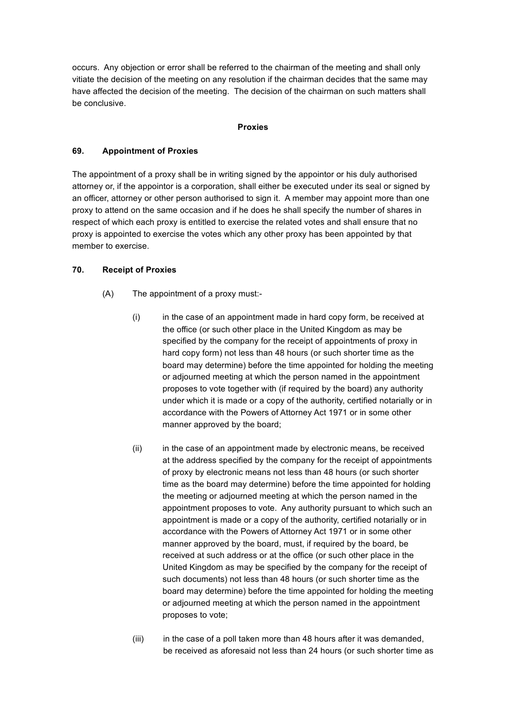occurs. Any objection or error shall be referred to the chairman of the meeting and shall only vitiate the decision of the meeting on any resolution if the chairman decides that the same may have affected the decision of the meeting. The decision of the chairman on such matters shall be conclusive.

#### **Proxies**

### **69. Appointment of Proxies**

The appointment of a proxy shall be in writing signed by the appointor or his duly authorised attorney or, if the appointor is a corporation, shall either be executed under its seal or signed by an officer, attorney or other person authorised to sign it. A member may appoint more than one proxy to attend on the same occasion and if he does he shall specify the number of shares in respect of which each proxy is entitled to exercise the related votes and shall ensure that no proxy is appointed to exercise the votes which any other proxy has been appointed by that member to exercise.

## **70. Receipt of Proxies**

- (A) The appointment of a proxy must:-
	- (i) in the case of an appointment made in hard copy form, be received at the office (or such other place in the United Kingdom as may be specified by the company for the receipt of appointments of proxy in hard copy form) not less than 48 hours (or such shorter time as the board may determine) before the time appointed for holding the meeting or adjourned meeting at which the person named in the appointment proposes to vote together with (if required by the board) any authority under which it is made or a copy of the authority, certified notarially or in accordance with the Powers of Attorney Act 1971 or in some other manner approved by the board;
	- (ii) in the case of an appointment made by electronic means, be received at the address specified by the company for the receipt of appointments of proxy by electronic means not less than 48 hours (or such shorter time as the board may determine) before the time appointed for holding the meeting or adjourned meeting at which the person named in the appointment proposes to vote. Any authority pursuant to which such an appointment is made or a copy of the authority, certified notarially or in accordance with the Powers of Attorney Act 1971 or in some other manner approved by the board, must, if required by the board, be received at such address or at the office (or such other place in the United Kingdom as may be specified by the company for the receipt of such documents) not less than 48 hours (or such shorter time as the board may determine) before the time appointed for holding the meeting or adjourned meeting at which the person named in the appointment proposes to vote;
	- $(iii)$  in the case of a poll taken more than 48 hours after it was demanded, be received as aforesaid not less than 24 hours (or such shorter time as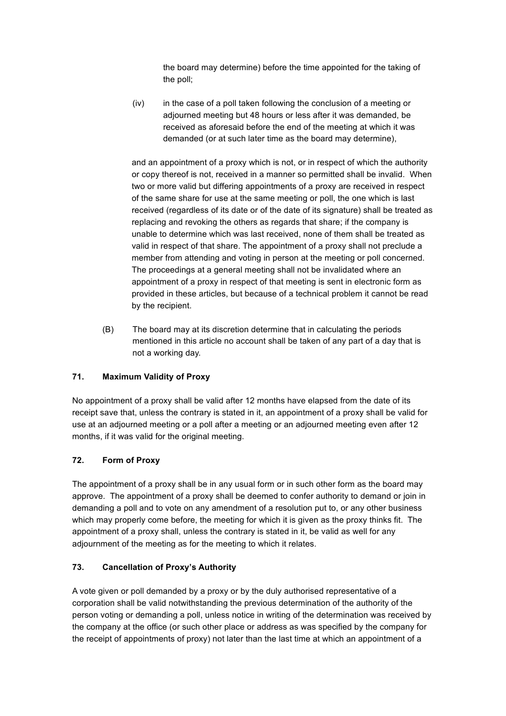the board may determine) before the time appointed for the taking of the poll;

(iv) in the case of a poll taken following the conclusion of a meeting or adjourned meeting but 48 hours or less after it was demanded, be received as aforesaid before the end of the meeting at which it was demanded (or at such later time as the board may determine),

and an appointment of a proxy which is not, or in respect of which the authority or copy thereof is not, received in a manner so permitted shall be invalid. When two or more valid but differing appointments of a proxy are received in respect of the same share for use at the same meeting or poll, the one which is last received (regardless of its date or of the date of its signature) shall be treated as replacing and revoking the others as regards that share; if the company is unable to determine which was last received, none of them shall be treated as valid in respect of that share. The appointment of a proxy shall not preclude a member from attending and voting in person at the meeting or poll concerned. The proceedings at a general meeting shall not be invalidated where an appointment of a proxy in respect of that meeting is sent in electronic form as provided in these articles, but because of a technical problem it cannot be read by the recipient.

(B) The board may at its discretion determine that in calculating the periods mentioned in this article no account shall be taken of any part of a day that is not a working day.

# **71. Maximum Validity of Proxy**

No appointment of a proxy shall be valid after 12 months have elapsed from the date of its receipt save that, unless the contrary is stated in it, an appointment of a proxy shall be valid for use at an adjourned meeting or a poll after a meeting or an adjourned meeting even after 12 months, if it was valid for the original meeting.

# **72. Form of Proxy**

The appointment of a proxy shall be in any usual form or in such other form as the board may approve. The appointment of a proxy shall be deemed to confer authority to demand or join in demanding a poll and to vote on any amendment of a resolution put to, or any other business which may properly come before, the meeting for which it is given as the proxy thinks fit. The appointment of a proxy shall, unless the contrary is stated in it, be valid as well for any adjournment of the meeting as for the meeting to which it relates.

# **73. Cancellation of Proxy's Authority**

A vote given or poll demanded by a proxy or by the duly authorised representative of a corporation shall be valid notwithstanding the previous determination of the authority of the person voting or demanding a poll, unless notice in writing of the determination was received by the company at the office (or such other place or address as was specified by the company for the receipt of appointments of proxy) not later than the last time at which an appointment of a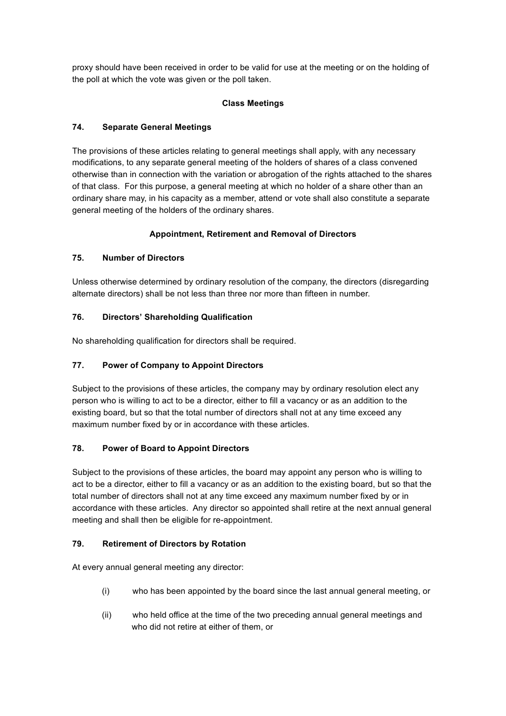proxy should have been received in order to be valid for use at the meeting or on the holding of the poll at which the vote was given or the poll taken.

# **Class Meetings**

# **74. Separate General Meetings**

The provisions of these articles relating to general meetings shall apply, with any necessary modifications, to any separate general meeting of the holders of shares of a class convened otherwise than in connection with the variation or abrogation of the rights attached to the shares of that class. For this purpose, a general meeting at which no holder of a share other than an ordinary share may, in his capacity as a member, attend or vote shall also constitute a separate general meeting of the holders of the ordinary shares.

# **Appointment, Retirement and Removal of Directors**

# **75. Number of Directors**

Unless otherwise determined by ordinary resolution of the company, the directors (disregarding alternate directors) shall be not less than three nor more than fifteen in number.

# **76. Directors' Shareholding Qualification**

No shareholding qualification for directors shall be required.

# **77. Power of Company to Appoint Directors**

Subject to the provisions of these articles, the company may by ordinary resolution elect any person who is willing to act to be a director, either to fill a vacancy or as an addition to the existing board, but so that the total number of directors shall not at any time exceed any maximum number fixed by or in accordance with these articles.

# **78. Power of Board to Appoint Directors**

Subject to the provisions of these articles, the board may appoint any person who is willing to act to be a director, either to fill a vacancy or as an addition to the existing board, but so that the total number of directors shall not at any time exceed any maximum number fixed by or in accordance with these articles. Any director so appointed shall retire at the next annual general meeting and shall then be eligible for re-appointment.

# **79. Retirement of Directors by Rotation**

At every annual general meeting any director:

- (i) who has been appointed by the board since the last annual general meeting, or
- (ii) who held office at the time of the two preceding annual general meetings and who did not retire at either of them, or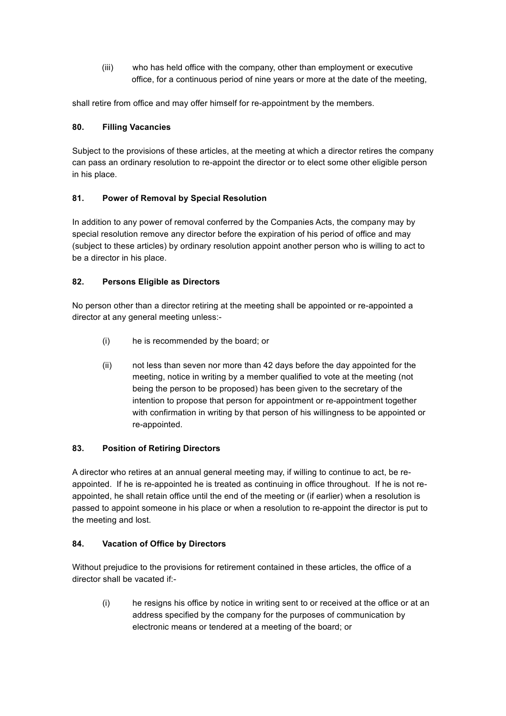(iii) who has held office with the company, other than employment or executive office, for a continuous period of nine years or more at the date of the meeting,

shall retire from office and may offer himself for re-appointment by the members.

## **80. Filling Vacancies**

Subject to the provisions of these articles, at the meeting at which a director retires the company can pass an ordinary resolution to re-appoint the director or to elect some other eligible person in his place.

# **81. Power of Removal by Special Resolution**

In addition to any power of removal conferred by the Companies Acts, the company may by special resolution remove any director before the expiration of his period of office and may (subject to these articles) by ordinary resolution appoint another person who is willing to act to be a director in his place.

## **82. Persons Eligible as Directors**

No person other than a director retiring at the meeting shall be appointed or re-appointed a director at any general meeting unless:-

- (i) he is recommended by the board; or
- (ii) not less than seven nor more than 42 days before the day appointed for the meeting, notice in writing by a member qualified to vote at the meeting (not being the person to be proposed) has been given to the secretary of the intention to propose that person for appointment or re-appointment together with confirmation in writing by that person of his willingness to be appointed or re-appointed.

### **83. Position of Retiring Directors**

A director who retires at an annual general meeting may, if willing to continue to act, be reappointed. If he is re-appointed he is treated as continuing in office throughout. If he is not reappointed, he shall retain office until the end of the meeting or (if earlier) when a resolution is passed to appoint someone in his place or when a resolution to re-appoint the director is put to the meeting and lost.

# **84. Vacation of Office by Directors**

Without prejudice to the provisions for retirement contained in these articles, the office of a director shall be vacated if:-

(i) he resigns his office by notice in writing sent to or received at the office or at an address specified by the company for the purposes of communication by electronic means or tendered at a meeting of the board; or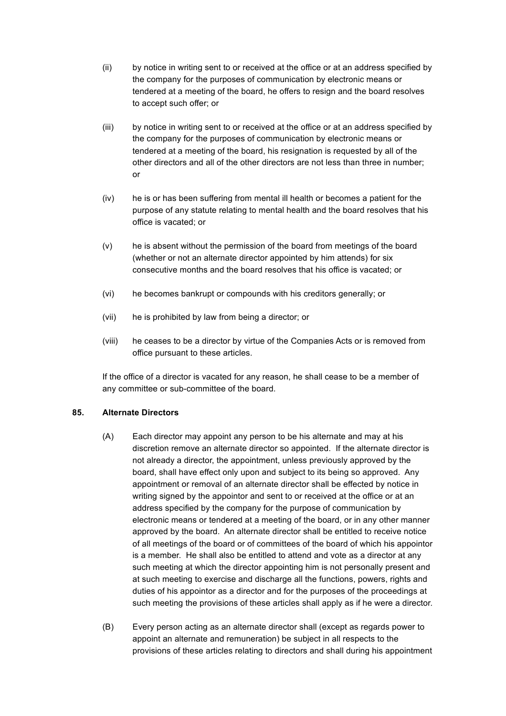- (ii) by notice in writing sent to or received at the office or at an address specified by the company for the purposes of communication by electronic means or tendered at a meeting of the board, he offers to resign and the board resolves to accept such offer; or
- (iii) by notice in writing sent to or received at the office or at an address specified by the company for the purposes of communication by electronic means or tendered at a meeting of the board, his resignation is requested by all of the other directors and all of the other directors are not less than three in number; or
- (iv) he is or has been suffering from mental ill health or becomes a patient for the purpose of any statute relating to mental health and the board resolves that his office is vacated; or
- (v) he is absent without the permission of the board from meetings of the board (whether or not an alternate director appointed by him attends) for six consecutive months and the board resolves that his office is vacated; or
- (vi) he becomes bankrupt or compounds with his creditors generally; or
- (vii) he is prohibited by law from being a director; or
- (viii) he ceases to be a director by virtue of the Companies Acts or is removed from office pursuant to these articles.

If the office of a director is vacated for any reason, he shall cease to be a member of any committee or sub-committee of the board.

### **85. Alternate Directors**

- (A) Each director may appoint any person to be his alternate and may at his discretion remove an alternate director so appointed. If the alternate director is not already a director, the appointment, unless previously approved by the board, shall have effect only upon and subject to its being so approved. Any appointment or removal of an alternate director shall be effected by notice in writing signed by the appointor and sent to or received at the office or at an address specified by the company for the purpose of communication by electronic means or tendered at a meeting of the board, or in any other manner approved by the board. An alternate director shall be entitled to receive notice of all meetings of the board or of committees of the board of which his appointor is a member. He shall also be entitled to attend and vote as a director at any such meeting at which the director appointing him is not personally present and at such meeting to exercise and discharge all the functions, powers, rights and duties of his appointor as a director and for the purposes of the proceedings at such meeting the provisions of these articles shall apply as if he were a director.
- (B) Every person acting as an alternate director shall (except as regards power to appoint an alternate and remuneration) be subject in all respects to the provisions of these articles relating to directors and shall during his appointment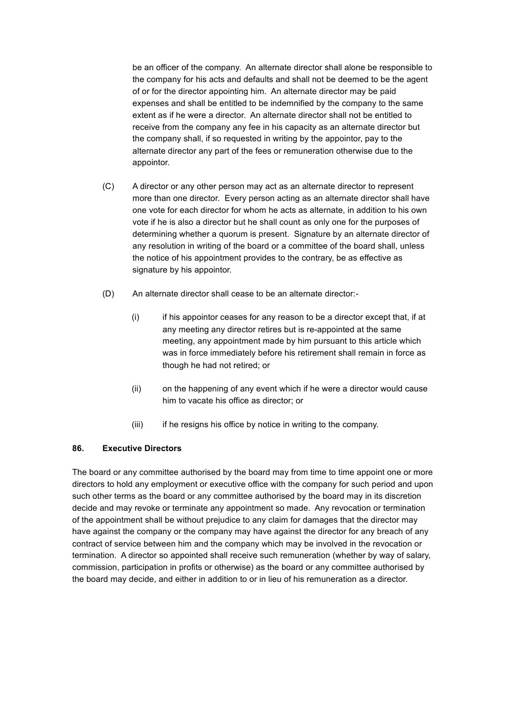be an officer of the company. An alternate director shall alone be responsible to the company for his acts and defaults and shall not be deemed to be the agent of or for the director appointing him. An alternate director may be paid expenses and shall be entitled to be indemnified by the company to the same extent as if he were a director. An alternate director shall not be entitled to receive from the company any fee in his capacity as an alternate director but the company shall, if so requested in writing by the appointor, pay to the alternate director any part of the fees or remuneration otherwise due to the appointor.

- (C) A director or any other person may act as an alternate director to represent more than one director. Every person acting as an alternate director shall have one vote for each director for whom he acts as alternate, in addition to his own vote if he is also a director but he shall count as only one for the purposes of determining whether a quorum is present. Signature by an alternate director of any resolution in writing of the board or a committee of the board shall, unless the notice of his appointment provides to the contrary, be as effective as signature by his appointor.
- (D) An alternate director shall cease to be an alternate director:-
	- (i) if his appointor ceases for any reason to be a director except that, if at any meeting any director retires but is re-appointed at the same meeting, any appointment made by him pursuant to this article which was in force immediately before his retirement shall remain in force as though he had not retired; or
	- (ii) on the happening of any event which if he were a director would cause him to vacate his office as director; or
	- (iii) if he resigns his office by notice in writing to the company.

### **86. Executive Directors**

The board or any committee authorised by the board may from time to time appoint one or more directors to hold any employment or executive office with the company for such period and upon such other terms as the board or any committee authorised by the board may in its discretion decide and may revoke or terminate any appointment so made. Any revocation or termination of the appointment shall be without prejudice to any claim for damages that the director may have against the company or the company may have against the director for any breach of any contract of service between him and the company which may be involved in the revocation or termination. A director so appointed shall receive such remuneration (whether by way of salary, commission, participation in profits or otherwise) as the board or any committee authorised by the board may decide, and either in addition to or in lieu of his remuneration as a director.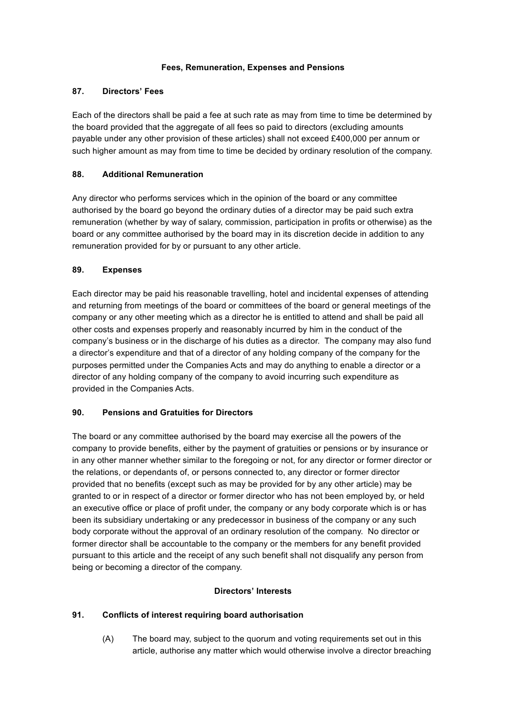# **Fees, Remuneration, Expenses and Pensions**

## **87. Directors' Fees**

Each of the directors shall be paid a fee at such rate as may from time to time be determined by the board provided that the aggregate of all fees so paid to directors (excluding amounts payable under any other provision of these articles) shall not exceed £400,000 per annum or such higher amount as may from time to time be decided by ordinary resolution of the company.

# **88. Additional Remuneration**

Any director who performs services which in the opinion of the board or any committee authorised by the board go beyond the ordinary duties of a director may be paid such extra remuneration (whether by way of salary, commission, participation in profits or otherwise) as the board or any committee authorised by the board may in its discretion decide in addition to any remuneration provided for by or pursuant to any other article.

## **89. Expenses**

Each director may be paid his reasonable travelling, hotel and incidental expenses of attending and returning from meetings of the board or committees of the board or general meetings of the company or any other meeting which as a director he is entitled to attend and shall be paid all other costs and expenses properly and reasonably incurred by him in the conduct of the company's business or in the discharge of his duties as a director. The company may also fund a director's expenditure and that of a director of any holding company of the company for the purposes permitted under the Companies Acts and may do anything to enable a director or a director of any holding company of the company to avoid incurring such expenditure as provided in the Companies Acts.

# **90. Pensions and Gratuities for Directors**

The board or any committee authorised by the board may exercise all the powers of the company to provide benefits, either by the payment of gratuities or pensions or by insurance or in any other manner whether similar to the foregoing or not, for any director or former director or the relations, or dependants of, or persons connected to, any director or former director provided that no benefits (except such as may be provided for by any other article) may be granted to or in respect of a director or former director who has not been employed by, or held an executive office or place of profit under, the company or any body corporate which is or has been its subsidiary undertaking or any predecessor in business of the company or any such body corporate without the approval of an ordinary resolution of the company. No director or former director shall be accountable to the company or the members for any benefit provided pursuant to this article and the receipt of any such benefit shall not disqualify any person from being or becoming a director of the company.

### **Directors' Interests**

# **91. Conflicts of interest requiring board authorisation**

(A) The board may, subject to the quorum and voting requirements set out in this article, authorise any matter which would otherwise involve a director breaching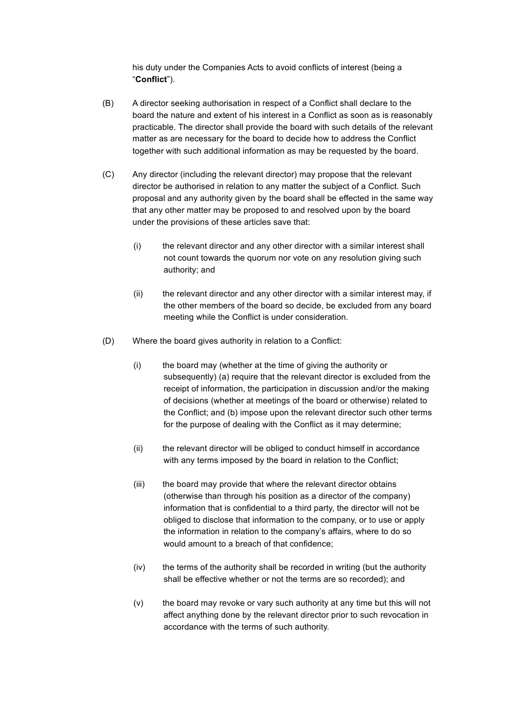his duty under the Companies Acts to avoid conflicts of interest (being a "**Conflict**").

- (B) A director seeking authorisation in respect of a Conflict shall declare to the board the nature and extent of his interest in a Conflict as soon as is reasonably practicable. The director shall provide the board with such details of the relevant matter as are necessary for the board to decide how to address the Conflict together with such additional information as may be requested by the board.
- (C) Any director (including the relevant director) may propose that the relevant director be authorised in relation to any matter the subject of a Conflict. Such proposal and any authority given by the board shall be effected in the same way that any other matter may be proposed to and resolved upon by the board under the provisions of these articles save that:
	- (i) the relevant director and any other director with a similar interest shall not count towards the quorum nor vote on any resolution giving such authority; and
	- (ii) the relevant director and any other director with a similar interest may, if the other members of the board so decide, be excluded from any board meeting while the Conflict is under consideration.
- (D) Where the board gives authority in relation to a Conflict:
	- (i) the board may (whether at the time of giving the authority or subsequently) (a) require that the relevant director is excluded from the receipt of information, the participation in discussion and/or the making of decisions (whether at meetings of the board or otherwise) related to the Conflict; and (b) impose upon the relevant director such other terms for the purpose of dealing with the Conflict as it may determine;
	- (ii) the relevant director will be obliged to conduct himself in accordance with any terms imposed by the board in relation to the Conflict;
	- (iii) the board may provide that where the relevant director obtains (otherwise than through his position as a director of the company) information that is confidential to a third party, the director will not be obliged to disclose that information to the company, or to use or apply the information in relation to the company's affairs, where to do so would amount to a breach of that confidence;
	- (iv) the terms of the authority shall be recorded in writing (but the authority shall be effective whether or not the terms are so recorded); and
	- (v) the board may revoke or vary such authority at any time but this will not affect anything done by the relevant director prior to such revocation in accordance with the terms of such authority.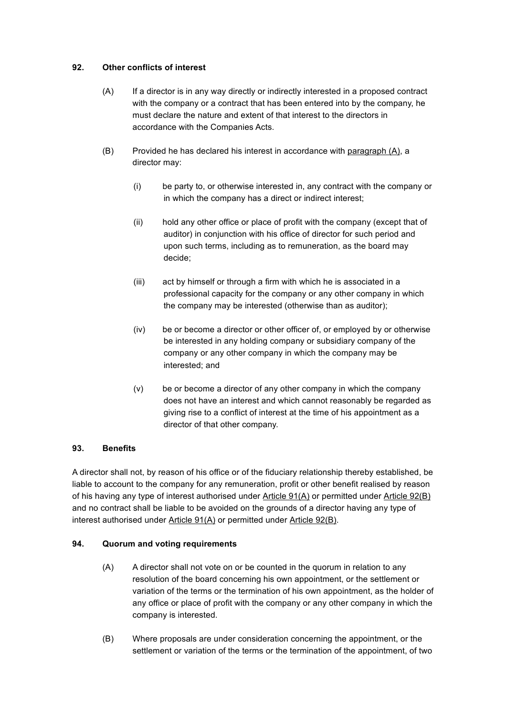## **92. Other conflicts of interest**

- (A) If a director is in any way directly or indirectly interested in a proposed contract with the company or a contract that has been entered into by the company, he must declare the nature and extent of that interest to the directors in accordance with the Companies Acts.
- (B) Provided he has declared his interest in accordance with paragraph  $(A)$ , a director may:
	- (i) be party to, or otherwise interested in, any contract with the company or in which the company has a direct or indirect interest;
	- (ii) hold any other office or place of profit with the company (except that of auditor) in conjunction with his office of director for such period and upon such terms, including as to remuneration, as the board may decide;
	- (iii) act by himself or through a firm with which he is associated in a professional capacity for the company or any other company in which the company may be interested (otherwise than as auditor);
	- (iv) be or become a director or other officer of, or employed by or otherwise be interested in any holding company or subsidiary company of the company or any other company in which the company may be interested; and
	- (v) be or become a director of any other company in which the company does not have an interest and which cannot reasonably be regarded as giving rise to a conflict of interest at the time of his appointment as a director of that other company.

# **93. Benefits**

A director shall not, by reason of his office or of the fiduciary relationship thereby established, be liable to account to the company for any remuneration, profit or other benefit realised by reason of his having any type of interest authorised under Article 91(A) or permitted under Article 92(B) and no contract shall be liable to be avoided on the grounds of a director having any type of interest authorised under Article 91(A) or permitted under Article 92(B).

### **94. Quorum and voting requirements**

- (A) A director shall not vote on or be counted in the quorum in relation to any resolution of the board concerning his own appointment, or the settlement or variation of the terms or the termination of his own appointment, as the holder of any office or place of profit with the company or any other company in which the company is interested.
- (B) Where proposals are under consideration concerning the appointment, or the settlement or variation of the terms or the termination of the appointment, of two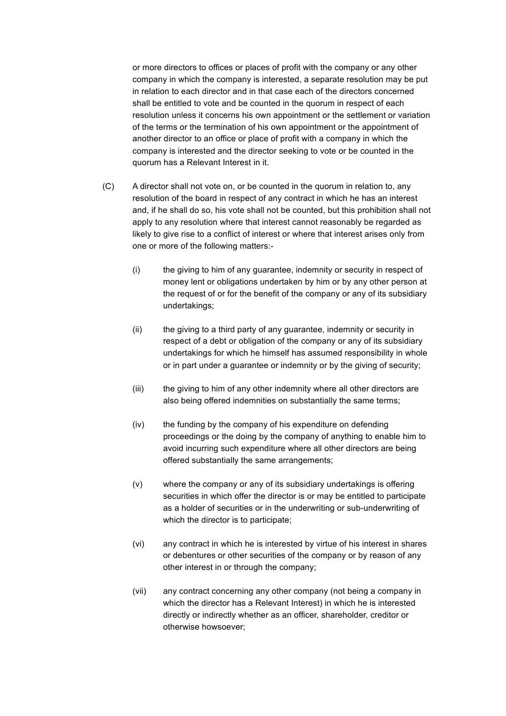or more directors to offices or places of profit with the company or any other company in which the company is interested, a separate resolution may be put in relation to each director and in that case each of the directors concerned shall be entitled to vote and be counted in the quorum in respect of each resolution unless it concerns his own appointment or the settlement or variation of the terms or the termination of his own appointment or the appointment of another director to an office or place of profit with a company in which the company is interested and the director seeking to vote or be counted in the quorum has a Relevant Interest in it.

- (C) A director shall not vote on, or be counted in the quorum in relation to, any resolution of the board in respect of any contract in which he has an interest and, if he shall do so, his vote shall not be counted, but this prohibition shall not apply to any resolution where that interest cannot reasonably be regarded as likely to give rise to a conflict of interest or where that interest arises only from one or more of the following matters:-
	- (i) the giving to him of any guarantee, indemnity or security in respect of money lent or obligations undertaken by him or by any other person at the request of or for the benefit of the company or any of its subsidiary undertakings;
	- (ii) the giving to a third party of any guarantee, indemnity or security in respect of a debt or obligation of the company or any of its subsidiary undertakings for which he himself has assumed responsibility in whole or in part under a guarantee or indemnity or by the giving of security;
	- (iii) the giving to him of any other indemnity where all other directors are also being offered indemnities on substantially the same terms;
	- (iv) the funding by the company of his expenditure on defending proceedings or the doing by the company of anything to enable him to avoid incurring such expenditure where all other directors are being offered substantially the same arrangements;
	- (v) where the company or any of its subsidiary undertakings is offering securities in which offer the director is or may be entitled to participate as a holder of securities or in the underwriting or sub-underwriting of which the director is to participate;
	- (vi) any contract in which he is interested by virtue of his interest in shares or debentures or other securities of the company or by reason of any other interest in or through the company;
	- (vii) any contract concerning any other company (not being a company in which the director has a Relevant Interest) in which he is interested directly or indirectly whether as an officer, shareholder, creditor or otherwise howsoever;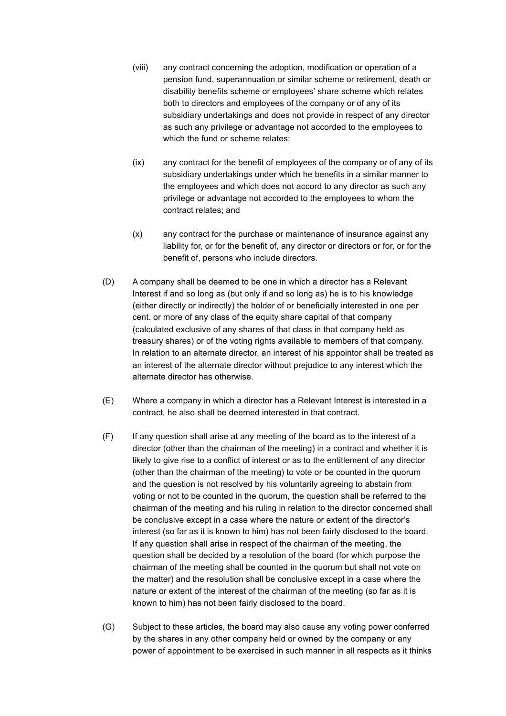- (viii) any contract concerning the adoption, modification or operation of a pension fund, superannuation or similar scheme or retirement, death or disability benefits scheme or employees' share scheme which relates both to directors and employees of the company or of any of its subsidiary undertakings and does not provide in respect of any director as such any privilege or advantage not accorded to the employees to which the fund or scheme relates;
- (ix) any contract for the benefit of employees of the company or of any of its subsidiary undertakings under which he benefits in a similar manner to the employees and which does not accord to any director as such any privilege or advantage not accorded to the employees to whom the contract relates; and
- (x) any contract for the purchase or maintenance of insurance against any liability for, or for the benefit of, any director or directors or for, or for the benefit of, persons who include directors.
- (D) A company shall be deemed to be one in which a director has a Relevant Interest if and so long as (but only if and so long as) he is to his knowledge (either directly or indirectly) the holder of or beneficially interested in one per cent. or more of any class of the equity share capital of that company (calculated exclusive of any shares of that class in that company held as treasury shares) or of the voting rights available to members of that company. In relation to an alternate director, an interest of his appointor shall be treated as an interest of the alternate director without prejudice to any interest which the alternate director has otherwise.
- (E) Where a company in which a director has a Relevant Interest is interested in a contract, he also shall be deemed interested in that contract.
- (F) If any question shall arise at any meeting of the board as to the interest of a director (other than the chairman of the meeting) in a contract and whether it is likely to give rise to a conflict of interest or as to the entitlement of any director (other than the chairman of the meeting) to vote or be counted in the quorum and the question is not resolved by his voluntarily agreeing to abstain from voting or not to be counted in the quorum, the question shall be referred to the chairman of the meeting and his ruling in relation to the director concerned shall be conclusive except in a case where the nature or extent of the director's interest (so far as it is known to him) has not been fairly disclosed to the board. If any question shall arise in respect of the chairman of the meeting, the question shall be decided by a resolution of the board (for which purpose the chairman of the meeting shall be counted in the quorum but shall not vote on the matter) and the resolution shall be conclusive except in a case where the nature or extent of the interest of the chairman of the meeting (so far as it is known to him) has not been fairly disclosed to the board.
- (G) Subject to these articles, the board may also cause any voting power conferred by the shares in any other company held or owned by the company or any power of appointment to be exercised in such manner in all respects as it thinks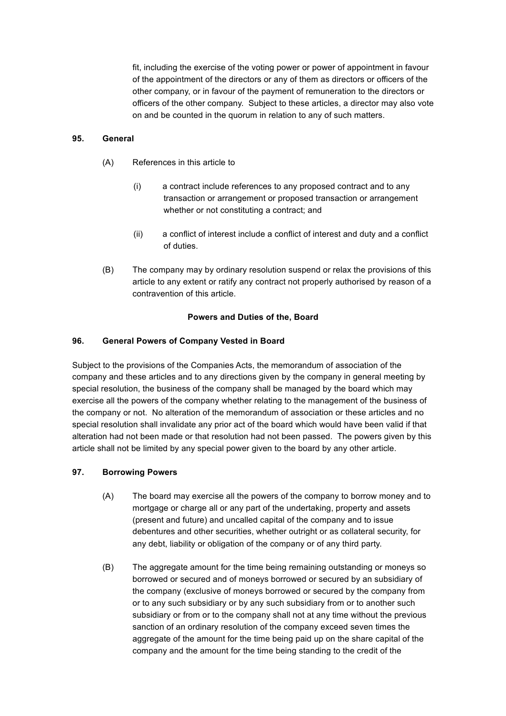fit, including the exercise of the voting power or power of appointment in favour of the appointment of the directors or any of them as directors or officers of the other company, or in favour of the payment of remuneration to the directors or officers of the other company. Subject to these articles, a director may also vote on and be counted in the quorum in relation to any of such matters.

## **95. General**

- (A) References in this article to
	- (i) a contract include references to any proposed contract and to any transaction or arrangement or proposed transaction or arrangement whether or not constituting a contract; and
	- (ii) a conflict of interest include a conflict of interest and duty and a conflict of duties.
- (B) The company may by ordinary resolution suspend or relax the provisions of this article to any extent or ratify any contract not properly authorised by reason of a contravention of this article.

## **Powers and Duties of the, Board**

## **96. General Powers of Company Vested in Board**

Subject to the provisions of the Companies Acts, the memorandum of association of the company and these articles and to any directions given by the company in general meeting by special resolution, the business of the company shall be managed by the board which may exercise all the powers of the company whether relating to the management of the business of the company or not. No alteration of the memorandum of association or these articles and no special resolution shall invalidate any prior act of the board which would have been valid if that alteration had not been made or that resolution had not been passed. The powers given by this article shall not be limited by any special power given to the board by any other article.

### **97. Borrowing Powers**

- (A) The board may exercise all the powers of the company to borrow money and to mortgage or charge all or any part of the undertaking, property and assets (present and future) and uncalled capital of the company and to issue debentures and other securities, whether outright or as collateral security, for any debt, liability or obligation of the company or of any third party.
- (B) The aggregate amount for the time being remaining outstanding or moneys so borrowed or secured and of moneys borrowed or secured by an subsidiary of the company (exclusive of moneys borrowed or secured by the company from or to any such subsidiary or by any such subsidiary from or to another such subsidiary or from or to the company shall not at any time without the previous sanction of an ordinary resolution of the company exceed seven times the aggregate of the amount for the time being paid up on the share capital of the company and the amount for the time being standing to the credit of the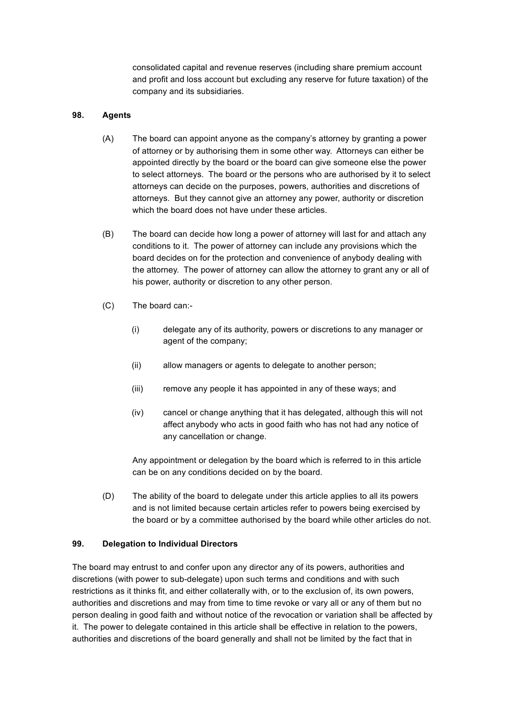consolidated capital and revenue reserves (including share premium account and profit and loss account but excluding any reserve for future taxation) of the company and its subsidiaries.

### **98. Agents**

- (A) The board can appoint anyone as the company's attorney by granting a power of attorney or by authorising them in some other way. Attorneys can either be appointed directly by the board or the board can give someone else the power to select attorneys. The board or the persons who are authorised by it to select attorneys can decide on the purposes, powers, authorities and discretions of attorneys. But they cannot give an attorney any power, authority or discretion which the board does not have under these articles.
- (B) The board can decide how long a power of attorney will last for and attach any conditions to it. The power of attorney can include any provisions which the board decides on for the protection and convenience of anybody dealing with the attorney. The power of attorney can allow the attorney to grant any or all of his power, authority or discretion to any other person.
- (C) The board can:-
	- (i) delegate any of its authority, powers or discretions to any manager or agent of the company;
	- (ii) allow managers or agents to delegate to another person;
	- (iii) remove any people it has appointed in any of these ways; and
	- (iv) cancel or change anything that it has delegated, although this will not affect anybody who acts in good faith who has not had any notice of any cancellation or change.

Any appointment or delegation by the board which is referred to in this article can be on any conditions decided on by the board.

(D) The ability of the board to delegate under this article applies to all its powers and is not limited because certain articles refer to powers being exercised by the board or by a committee authorised by the board while other articles do not.

### **99. Delegation to Individual Directors**

The board may entrust to and confer upon any director any of its powers, authorities and discretions (with power to sub-delegate) upon such terms and conditions and with such restrictions as it thinks fit, and either collaterally with, or to the exclusion of, its own powers, authorities and discretions and may from time to time revoke or vary all or any of them but no person dealing in good faith and without notice of the revocation or variation shall be affected by it. The power to delegate contained in this article shall be effective in relation to the powers, authorities and discretions of the board generally and shall not be limited by the fact that in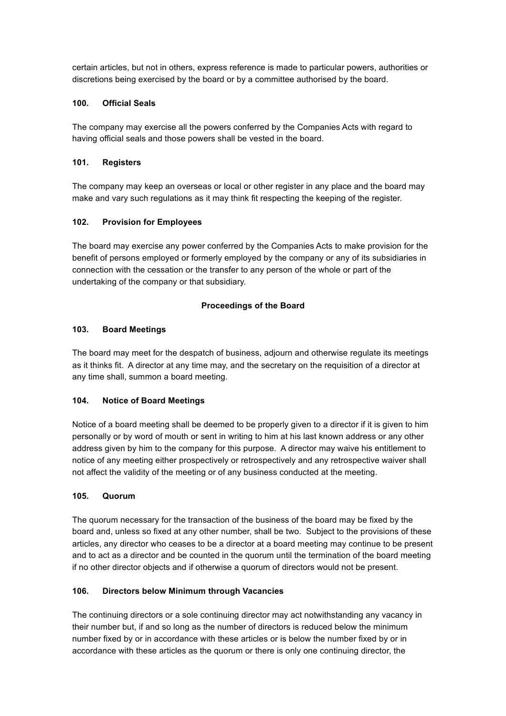certain articles, but not in others, express reference is made to particular powers, authorities or discretions being exercised by the board or by a committee authorised by the board.

## **100. Official Seals**

The company may exercise all the powers conferred by the Companies Acts with regard to having official seals and those powers shall be vested in the board.

## **101. Registers**

The company may keep an overseas or local or other register in any place and the board may make and vary such regulations as it may think fit respecting the keeping of the register.

# **102. Provision for Employees**

The board may exercise any power conferred by the Companies Acts to make provision for the benefit of persons employed or formerly employed by the company or any of its subsidiaries in connection with the cessation or the transfer to any person of the whole or part of the undertaking of the company or that subsidiary.

# **Proceedings of the Board**

## **103. Board Meetings**

The board may meet for the despatch of business, adjourn and otherwise regulate its meetings as it thinks fit. A director at any time may, and the secretary on the requisition of a director at any time shall, summon a board meeting.

# **104. Notice of Board Meetings**

Notice of a board meeting shall be deemed to be properly given to a director if it is given to him personally or by word of mouth or sent in writing to him at his last known address or any other address given by him to the company for this purpose. A director may waive his entitlement to notice of any meeting either prospectively or retrospectively and any retrospective waiver shall not affect the validity of the meeting or of any business conducted at the meeting.

### **105. Quorum**

The quorum necessary for the transaction of the business of the board may be fixed by the board and, unless so fixed at any other number, shall be two. Subject to the provisions of these articles, any director who ceases to be a director at a board meeting may continue to be present and to act as a director and be counted in the quorum until the termination of the board meeting if no other director objects and if otherwise a quorum of directors would not be present.

# **106. Directors below Minimum through Vacancies**

The continuing directors or a sole continuing director may act notwithstanding any vacancy in their number but, if and so long as the number of directors is reduced below the minimum number fixed by or in accordance with these articles or is below the number fixed by or in accordance with these articles as the quorum or there is only one continuing director, the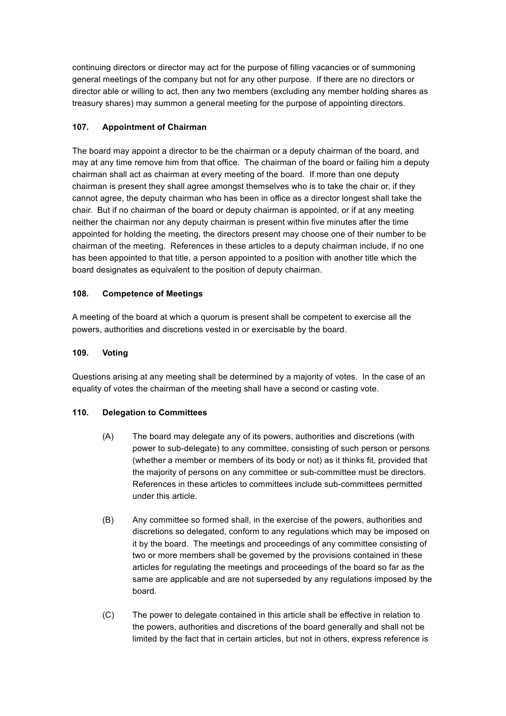continuing directors or director may act for the purpose of filling vacancies or of summoning general meetings of the company but not for any other purpose. If there are no directors or director able or willing to act, then any two members (excluding any member holding shares as treasury shares) may summon a general meeting for the purpose of appointing directors.

# **107. Appointment of Chairman**

The board may appoint a director to be the chairman or a deputy chairman of the board, and may at any time remove him from that office. The chairman of the board or failing him a deputy chairman shall act as chairman at every meeting of the board. If more than one deputy chairman is present they shall agree amongst themselves who is to take the chair or, if they cannot agree, the deputy chairman who has been in office as a director longest shall take the chair. But if no chairman of the board or deputy chairman is appointed, or if at any meeting neither the chairman nor any deputy chairman is present within five minutes after the time appointed for holding the meeting, the directors present may choose one of their number to be chairman of the meeting. References in these articles to a deputy chairman include, if no one has been appointed to that title, a person appointed to a position with another title which the board designates as equivalent to the position of deputy chairman.

# **108. Competence of Meetings**

A meeting of the board at which a quorum is present shall be competent to exercise all the powers, authorities and discretions vested in or exercisable by the board.

## **109. Voting**

Questions arising at any meeting shall be determined by a majority of votes. In the case of an equality of votes the chairman of the meeting shall have a second or casting vote.

# **110. Delegation to Committees**

- (A) The board may delegate any of its powers, authorities and discretions (with power to sub-delegate) to any committee, consisting of such person or persons (whether a member or members of its body or not) as it thinks fit, provided that the majority of persons on any committee or sub-committee must be directors. References in these articles to committees include sub-committees permitted under this article.
- (B) Any committee so formed shall, in the exercise of the powers, authorities and discretions so delegated, conform to any regulations which may be imposed on it by the board. The meetings and proceedings of any committee consisting of two or more members shall be governed by the provisions contained in these articles for regulating the meetings and proceedings of the board so far as the same are applicable and are not superseded by any regulations imposed by the board.
- (C) The power to delegate contained in this article shall be effective in relation to the powers, authorities and discretions of the board generally and shall not be limited by the fact that in certain articles, but not in others, express reference is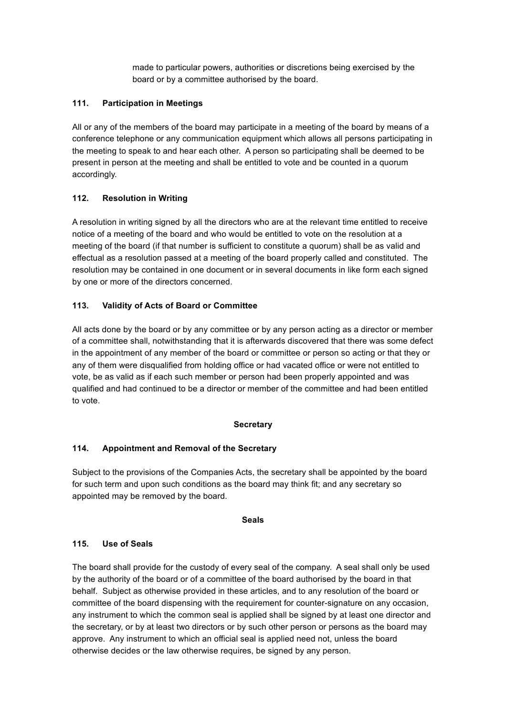made to particular powers, authorities or discretions being exercised by the board or by a committee authorised by the board.

### **111. Participation in Meetings**

All or any of the members of the board may participate in a meeting of the board by means of a conference telephone or any communication equipment which allows all persons participating in the meeting to speak to and hear each other. A person so participating shall be deemed to be present in person at the meeting and shall be entitled to vote and be counted in a quorum accordingly.

# **112. Resolution in Writing**

A resolution in writing signed by all the directors who are at the relevant time entitled to receive notice of a meeting of the board and who would be entitled to vote on the resolution at a meeting of the board (if that number is sufficient to constitute a quorum) shall be as valid and effectual as a resolution passed at a meeting of the board properly called and constituted. The resolution may be contained in one document or in several documents in like form each signed by one or more of the directors concerned.

# **113. Validity of Acts of Board or Committee**

All acts done by the board or by any committee or by any person acting as a director or member of a committee shall, notwithstanding that it is afterwards discovered that there was some defect in the appointment of any member of the board or committee or person so acting or that they or any of them were disqualified from holding office or had vacated office or were not entitled to vote, be as valid as if each such member or person had been properly appointed and was qualified and had continued to be a director or member of the committee and had been entitled to vote.

### **Secretary**

# **114. Appointment and Removal of the Secretary**

Subject to the provisions of the Companies Acts, the secretary shall be appointed by the board for such term and upon such conditions as the board may think fit; and any secretary so appointed may be removed by the board.

### **Seals**

## **115. Use of Seals**

The board shall provide for the custody of every seal of the company. A seal shall only be used by the authority of the board or of a committee of the board authorised by the board in that behalf. Subject as otherwise provided in these articles, and to any resolution of the board or committee of the board dispensing with the requirement for counter-signature on any occasion, any instrument to which the common seal is applied shall be signed by at least one director and the secretary, or by at least two directors or by such other person or persons as the board may approve. Any instrument to which an official seal is applied need not, unless the board otherwise decides or the law otherwise requires, be signed by any person.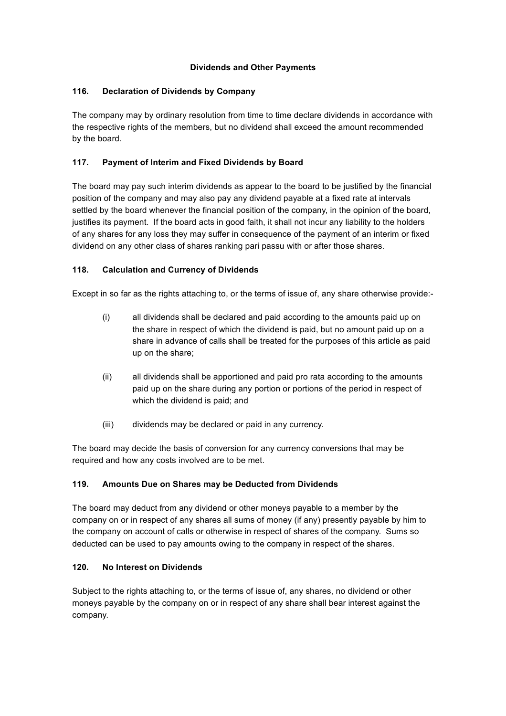## **Dividends and Other Payments**

## **116. Declaration of Dividends by Company**

The company may by ordinary resolution from time to time declare dividends in accordance with the respective rights of the members, but no dividend shall exceed the amount recommended by the board.

# **117. Payment of Interim and Fixed Dividends by Board**

The board may pay such interim dividends as appear to the board to be justified by the financial position of the company and may also pay any dividend payable at a fixed rate at intervals settled by the board whenever the financial position of the company, in the opinion of the board, justifies its payment. If the board acts in good faith, it shall not incur any liability to the holders of any shares for any loss they may suffer in consequence of the payment of an interim or fixed dividend on any other class of shares ranking pari passu with or after those shares.

# **118. Calculation and Currency of Dividends**

Except in so far as the rights attaching to, or the terms of issue of, any share otherwise provide:-

- (i) all dividends shall be declared and paid according to the amounts paid up on the share in respect of which the dividend is paid, but no amount paid up on a share in advance of calls shall be treated for the purposes of this article as paid up on the share;
- (ii) all dividends shall be apportioned and paid pro rata according to the amounts paid up on the share during any portion or portions of the period in respect of which the dividend is paid; and
- (iii) dividends may be declared or paid in any currency.

The board may decide the basis of conversion for any currency conversions that may be required and how any costs involved are to be met.

# **119. Amounts Due on Shares may be Deducted from Dividends**

The board may deduct from any dividend or other moneys payable to a member by the company on or in respect of any shares all sums of money (if any) presently payable by him to the company on account of calls or otherwise in respect of shares of the company. Sums so deducted can be used to pay amounts owing to the company in respect of the shares.

# **120. No Interest on Dividends**

Subject to the rights attaching to, or the terms of issue of, any shares, no dividend or other moneys payable by the company on or in respect of any share shall bear interest against the company.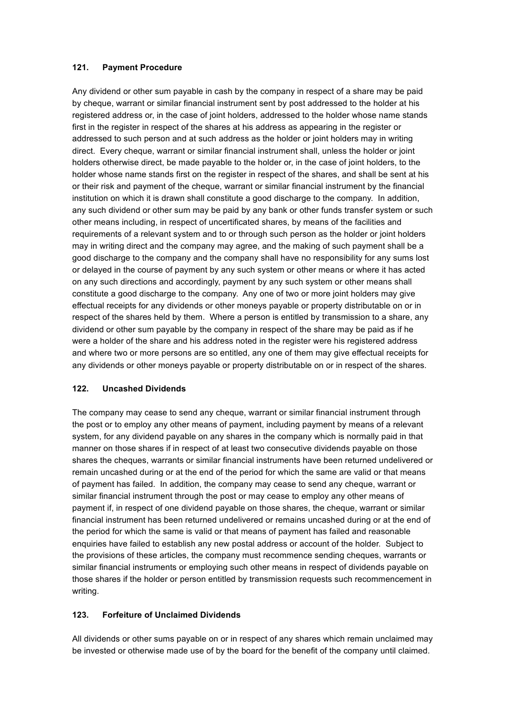### **121. Payment Procedure**

Any dividend or other sum payable in cash by the company in respect of a share may be paid by cheque, warrant or similar financial instrument sent by post addressed to the holder at his registered address or, in the case of joint holders, addressed to the holder whose name stands first in the register in respect of the shares at his address as appearing in the register or addressed to such person and at such address as the holder or joint holders may in writing direct. Every cheque, warrant or similar financial instrument shall, unless the holder or joint holders otherwise direct, be made payable to the holder or, in the case of joint holders, to the holder whose name stands first on the register in respect of the shares, and shall be sent at his or their risk and payment of the cheque, warrant or similar financial instrument by the financial institution on which it is drawn shall constitute a good discharge to the company. In addition, any such dividend or other sum may be paid by any bank or other funds transfer system or such other means including, in respect of uncertificated shares, by means of the facilities and requirements of a relevant system and to or through such person as the holder or joint holders may in writing direct and the company may agree, and the making of such payment shall be a good discharge to the company and the company shall have no responsibility for any sums lost or delayed in the course of payment by any such system or other means or where it has acted on any such directions and accordingly, payment by any such system or other means shall constitute a good discharge to the company. Any one of two or more joint holders may give effectual receipts for any dividends or other moneys payable or property distributable on or in respect of the shares held by them. Where a person is entitled by transmission to a share, any dividend or other sum payable by the company in respect of the share may be paid as if he were a holder of the share and his address noted in the register were his registered address and where two or more persons are so entitled, any one of them may give effectual receipts for any dividends or other moneys payable or property distributable on or in respect of the shares.

# **122. Uncashed Dividends**

The company may cease to send any cheque, warrant or similar financial instrument through the post or to employ any other means of payment, including payment by means of a relevant system, for any dividend payable on any shares in the company which is normally paid in that manner on those shares if in respect of at least two consecutive dividends payable on those shares the cheques, warrants or similar financial instruments have been returned undelivered or remain uncashed during or at the end of the period for which the same are valid or that means of payment has failed. In addition, the company may cease to send any cheque, warrant or similar financial instrument through the post or may cease to employ any other means of payment if, in respect of one dividend payable on those shares, the cheque, warrant or similar financial instrument has been returned undelivered or remains uncashed during or at the end of the period for which the same is valid or that means of payment has failed and reasonable enquiries have failed to establish any new postal address or account of the holder. Subject to the provisions of these articles, the company must recommence sending cheques, warrants or similar financial instruments or employing such other means in respect of dividends payable on those shares if the holder or person entitled by transmission requests such recommencement in writing.

# **123. Forfeiture of Unclaimed Dividends**

All dividends or other sums payable on or in respect of any shares which remain unclaimed may be invested or otherwise made use of by the board for the benefit of the company until claimed.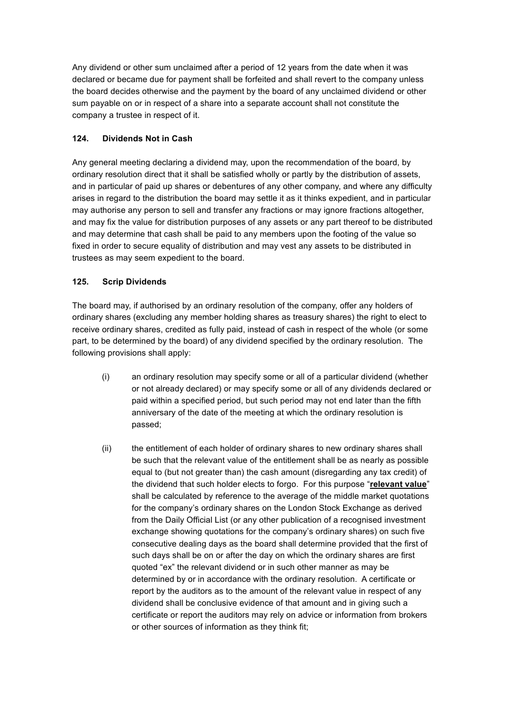Any dividend or other sum unclaimed after a period of 12 years from the date when it was declared or became due for payment shall be forfeited and shall revert to the company unless the board decides otherwise and the payment by the board of any unclaimed dividend or other sum payable on or in respect of a share into a separate account shall not constitute the company a trustee in respect of it.

# **124. Dividends Not in Cash**

Any general meeting declaring a dividend may, upon the recommendation of the board, by ordinary resolution direct that it shall be satisfied wholly or partly by the distribution of assets, and in particular of paid up shares or debentures of any other company, and where any difficulty arises in regard to the distribution the board may settle it as it thinks expedient, and in particular may authorise any person to sell and transfer any fractions or may ignore fractions altogether, and may fix the value for distribution purposes of any assets or any part thereof to be distributed and may determine that cash shall be paid to any members upon the footing of the value so fixed in order to secure equality of distribution and may vest any assets to be distributed in trustees as may seem expedient to the board.

# **125. Scrip Dividends**

The board may, if authorised by an ordinary resolution of the company, offer any holders of ordinary shares (excluding any member holding shares as treasury shares) the right to elect to receive ordinary shares, credited as fully paid, instead of cash in respect of the whole (or some part, to be determined by the board) of any dividend specified by the ordinary resolution. The following provisions shall apply:

- (i) an ordinary resolution may specify some or all of a particular dividend (whether or not already declared) or may specify some or all of any dividends declared or paid within a specified period, but such period may not end later than the fifth anniversary of the date of the meeting at which the ordinary resolution is passed;
- (ii) the entitlement of each holder of ordinary shares to new ordinary shares shall be such that the relevant value of the entitlement shall be as nearly as possible equal to (but not greater than) the cash amount (disregarding any tax credit) of the dividend that such holder elects to forgo. For this purpose "**relevant value**" shall be calculated by reference to the average of the middle market quotations for the company's ordinary shares on the London Stock Exchange as derived from the Daily Official List (or any other publication of a recognised investment exchange showing quotations for the company's ordinary shares) on such five consecutive dealing days as the board shall determine provided that the first of such days shall be on or after the day on which the ordinary shares are first quoted "ex" the relevant dividend or in such other manner as may be determined by or in accordance with the ordinary resolution. A certificate or report by the auditors as to the amount of the relevant value in respect of any dividend shall be conclusive evidence of that amount and in giving such a certificate or report the auditors may rely on advice or information from brokers or other sources of information as they think fit;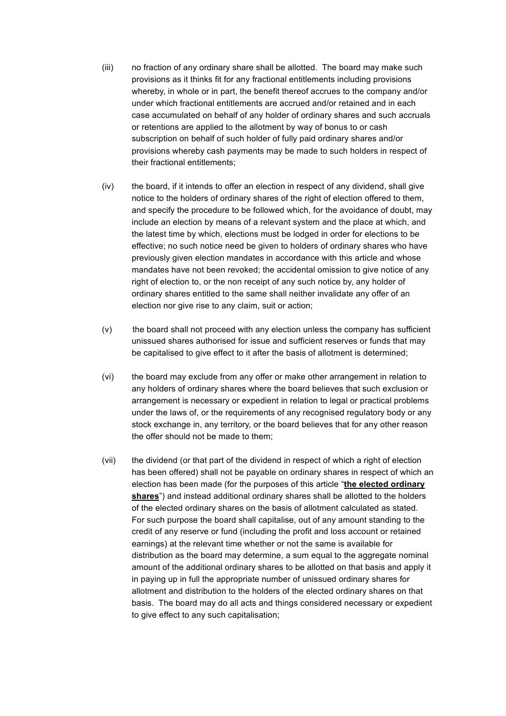- (iii) no fraction of any ordinary share shall be allotted. The board may make such provisions as it thinks fit for any fractional entitlements including provisions whereby, in whole or in part, the benefit thereof accrues to the company and/or under which fractional entitlements are accrued and/or retained and in each case accumulated on behalf of any holder of ordinary shares and such accruals or retentions are applied to the allotment by way of bonus to or cash subscription on behalf of such holder of fully paid ordinary shares and/or provisions whereby cash payments may be made to such holders in respect of their fractional entitlements;
- (iv) the board, if it intends to offer an election in respect of any dividend, shall give notice to the holders of ordinary shares of the right of election offered to them, and specify the procedure to be followed which, for the avoidance of doubt, may include an election by means of a relevant system and the place at which, and the latest time by which, elections must be lodged in order for elections to be effective; no such notice need be given to holders of ordinary shares who have previously given election mandates in accordance with this article and whose mandates have not been revoked; the accidental omission to give notice of any right of election to, or the non receipt of any such notice by, any holder of ordinary shares entitled to the same shall neither invalidate any offer of an election nor give rise to any claim, suit or action;
- (v) the board shall not proceed with any election unless the company has sufficient unissued shares authorised for issue and sufficient reserves or funds that may be capitalised to give effect to it after the basis of allotment is determined;
- (vi) the board may exclude from any offer or make other arrangement in relation to any holders of ordinary shares where the board believes that such exclusion or arrangement is necessary or expedient in relation to legal or practical problems under the laws of, or the requirements of any recognised regulatory body or any stock exchange in, any territory, or the board believes that for any other reason the offer should not be made to them;
- (vii) the dividend (or that part of the dividend in respect of which a right of election has been offered) shall not be payable on ordinary shares in respect of which an election has been made (for the purposes of this article "**the elected ordinary shares**") and instead additional ordinary shares shall be allotted to the holders of the elected ordinary shares on the basis of allotment calculated as stated. For such purpose the board shall capitalise, out of any amount standing to the credit of any reserve or fund (including the profit and loss account or retained earnings) at the relevant time whether or not the same is available for distribution as the board may determine, a sum equal to the aggregate nominal amount of the additional ordinary shares to be allotted on that basis and apply it in paying up in full the appropriate number of unissued ordinary shares for allotment and distribution to the holders of the elected ordinary shares on that basis. The board may do all acts and things considered necessary or expedient to give effect to any such capitalisation;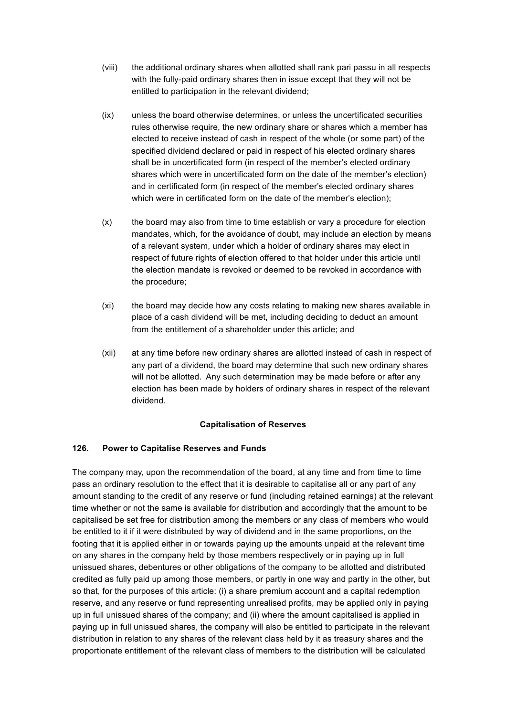- (viii) the additional ordinary shares when allotted shall rank pari passu in all respects with the fully-paid ordinary shares then in issue except that they will not be entitled to participation in the relevant dividend;
- (ix) unless the board otherwise determines, or unless the uncertificated securities rules otherwise require, the new ordinary share or shares which a member has elected to receive instead of cash in respect of the whole (or some part) of the specified dividend declared or paid in respect of his elected ordinary shares shall be in uncertificated form (in respect of the member's elected ordinary shares which were in uncertificated form on the date of the member's election) and in certificated form (in respect of the member's elected ordinary shares which were in certificated form on the date of the member's election);
- (x) the board may also from time to time establish or vary a procedure for election mandates, which, for the avoidance of doubt, may include an election by means of a relevant system, under which a holder of ordinary shares may elect in respect of future rights of election offered to that holder under this article until the election mandate is revoked or deemed to be revoked in accordance with the procedure;
- (xi) the board may decide how any costs relating to making new shares available in place of a cash dividend will be met, including deciding to deduct an amount from the entitlement of a shareholder under this article; and
- (xii) at any time before new ordinary shares are allotted instead of cash in respect of any part of a dividend, the board may determine that such new ordinary shares will not be allotted. Any such determination may be made before or after any election has been made by holders of ordinary shares in respect of the relevant dividend.

### **Capitalisation of Reserves**

# **126. Power to Capitalise Reserves and Funds**

The company may, upon the recommendation of the board, at any time and from time to time pass an ordinary resolution to the effect that it is desirable to capitalise all or any part of any amount standing to the credit of any reserve or fund (including retained earnings) at the relevant time whether or not the same is available for distribution and accordingly that the amount to be capitalised be set free for distribution among the members or any class of members who would be entitled to it if it were distributed by way of dividend and in the same proportions, on the footing that it is applied either in or towards paying up the amounts unpaid at the relevant time on any shares in the company held by those members respectively or in paying up in full unissued shares, debentures or other obligations of the company to be allotted and distributed credited as fully paid up among those members, or partly in one way and partly in the other, but so that, for the purposes of this article: (i) a share premium account and a capital redemption reserve, and any reserve or fund representing unrealised profits, may be applied only in paying up in full unissued shares of the company; and (ii) where the amount capitalised is applied in paying up in full unissued shares, the company will also be entitled to participate in the relevant distribution in relation to any shares of the relevant class held by it as treasury shares and the proportionate entitlement of the relevant class of members to the distribution will be calculated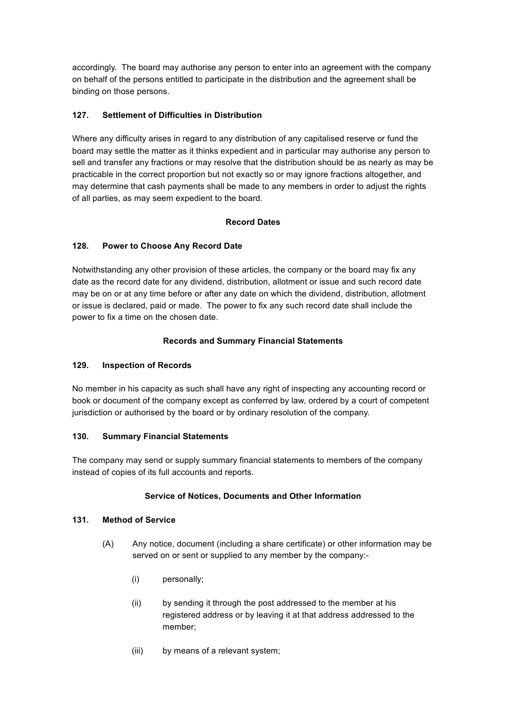accordingly. The board may authorise any person to enter into an agreement with the company on behalf of the persons entitled to participate in the distribution and the agreement shall be binding on those persons.

# **127. Settlement of Difficulties in Distribution**

Where any difficulty arises in regard to any distribution of any capitalised reserve or fund the board may settle the matter as it thinks expedient and in particular may authorise any person to sell and transfer any fractions or may resolve that the distribution should be as nearly as may be practicable in the correct proportion but not exactly so or may ignore fractions altogether, and may determine that cash payments shall be made to any members in order to adjust the rights of all parties, as may seem expedient to the board.

# **Record Dates**

# **128. Power to Choose Any Record Date**

Notwithstanding any other provision of these articles, the company or the board may fix any date as the record date for any dividend, distribution, allotment or issue and such record date may be on or at any time before or after any date on which the dividend, distribution, allotment or issue is declared, paid or made. The power to fix any such record date shall include the power to fix a time on the chosen date.

# **Records and Summary Financial Statements**

# **129. Inspection of Records**

No member in his capacity as such shall have any right of inspecting any accounting record or book or document of the company except as conferred by law, ordered by a court of competent jurisdiction or authorised by the board or by ordinary resolution of the company.

# **130. Summary Financial Statements**

The company may send or supply summary financial statements to members of the company instead of copies of its full accounts and reports.

# **Service of Notices, Documents and Other Information**

# **131. Method of Service**

- (A) Any notice, document (including a share certificate) or other information may be served on or sent or supplied to any member by the company:-
	- (i) personally;
	- (ii) by sending it through the post addressed to the member at his registered address or by leaving it at that address addressed to the member;
	- (iii) by means of a relevant system;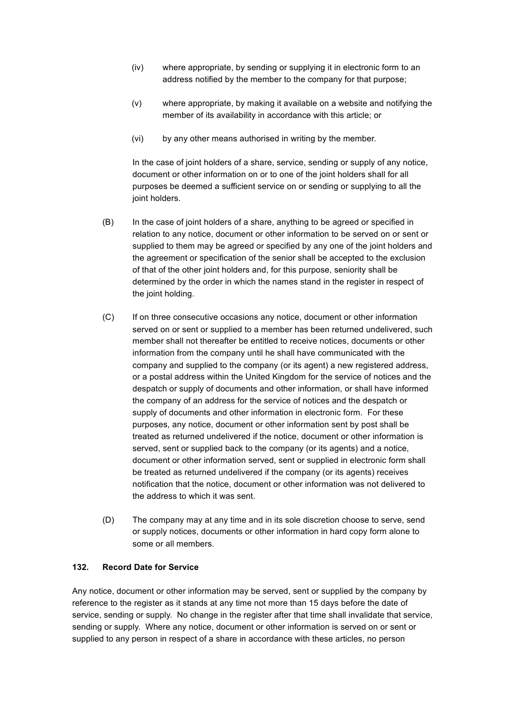- (iv) where appropriate, by sending or supplying it in electronic form to an address notified by the member to the company for that purpose;
- (v) where appropriate, by making it available on a website and notifying the member of its availability in accordance with this article; or
- (vi) by any other means authorised in writing by the member.

In the case of joint holders of a share, service, sending or supply of any notice, document or other information on or to one of the joint holders shall for all purposes be deemed a sufficient service on or sending or supplying to all the joint holders.

- (B) In the case of joint holders of a share, anything to be agreed or specified in relation to any notice, document or other information to be served on or sent or supplied to them may be agreed or specified by any one of the joint holders and the agreement or specification of the senior shall be accepted to the exclusion of that of the other joint holders and, for this purpose, seniority shall be determined by the order in which the names stand in the register in respect of the joint holding.
- (C) If on three consecutive occasions any notice, document or other information served on or sent or supplied to a member has been returned undelivered, such member shall not thereafter be entitled to receive notices, documents or other information from the company until he shall have communicated with the company and supplied to the company (or its agent) a new registered address, or a postal address within the United Kingdom for the service of notices and the despatch or supply of documents and other information, or shall have informed the company of an address for the service of notices and the despatch or supply of documents and other information in electronic form. For these purposes, any notice, document or other information sent by post shall be treated as returned undelivered if the notice, document or other information is served, sent or supplied back to the company (or its agents) and a notice, document or other information served, sent or supplied in electronic form shall be treated as returned undelivered if the company (or its agents) receives notification that the notice, document or other information was not delivered to the address to which it was sent.
- (D) The company may at any time and in its sole discretion choose to serve, send or supply notices, documents or other information in hard copy form alone to some or all members.

#### **132. Record Date for Service**

Any notice, document or other information may be served, sent or supplied by the company by reference to the register as it stands at any time not more than 15 days before the date of service, sending or supply. No change in the register after that time shall invalidate that service, sending or supply. Where any notice, document or other information is served on or sent or supplied to any person in respect of a share in accordance with these articles, no person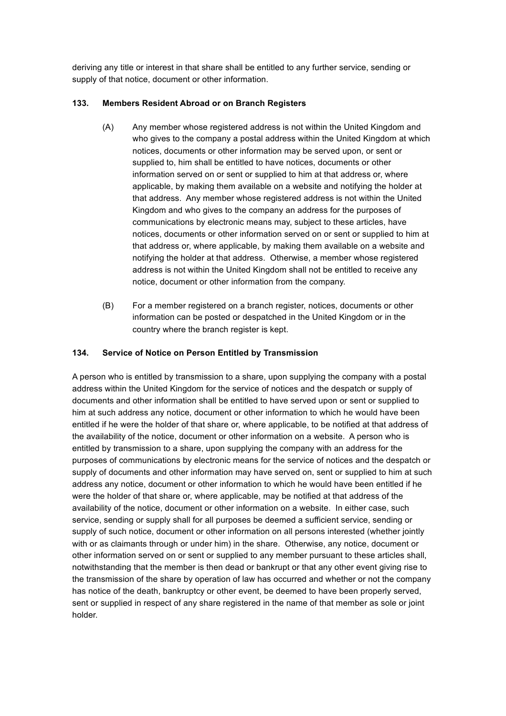deriving any title or interest in that share shall be entitled to any further service, sending or supply of that notice, document or other information.

## **133. Members Resident Abroad or on Branch Registers**

- (A) Any member whose registered address is not within the United Kingdom and who gives to the company a postal address within the United Kingdom at which notices, documents or other information may be served upon, or sent or supplied to, him shall be entitled to have notices, documents or other information served on or sent or supplied to him at that address or, where applicable, by making them available on a website and notifying the holder at that address. Any member whose registered address is not within the United Kingdom and who gives to the company an address for the purposes of communications by electronic means may, subject to these articles, have notices, documents or other information served on or sent or supplied to him at that address or, where applicable, by making them available on a website and notifying the holder at that address. Otherwise, a member whose registered address is not within the United Kingdom shall not be entitled to receive any notice, document or other information from the company.
- (B) For a member registered on a branch register, notices, documents or other information can be posted or despatched in the United Kingdom or in the country where the branch register is kept.

## **134. Service of Notice on Person Entitled by Transmission**

A person who is entitled by transmission to a share, upon supplying the company with a postal address within the United Kingdom for the service of notices and the despatch or supply of documents and other information shall be entitled to have served upon or sent or supplied to him at such address any notice, document or other information to which he would have been entitled if he were the holder of that share or, where applicable, to be notified at that address of the availability of the notice, document or other information on a website. A person who is entitled by transmission to a share, upon supplying the company with an address for the purposes of communications by electronic means for the service of notices and the despatch or supply of documents and other information may have served on, sent or supplied to him at such address any notice, document or other information to which he would have been entitled if he were the holder of that share or, where applicable, may be notified at that address of the availability of the notice, document or other information on a website. In either case, such service, sending or supply shall for all purposes be deemed a sufficient service, sending or supply of such notice, document or other information on all persons interested (whether jointly with or as claimants through or under him) in the share. Otherwise, any notice, document or other information served on or sent or supplied to any member pursuant to these articles shall, notwithstanding that the member is then dead or bankrupt or that any other event giving rise to the transmission of the share by operation of law has occurred and whether or not the company has notice of the death, bankruptcy or other event, be deemed to have been properly served, sent or supplied in respect of any share registered in the name of that member as sole or joint holder.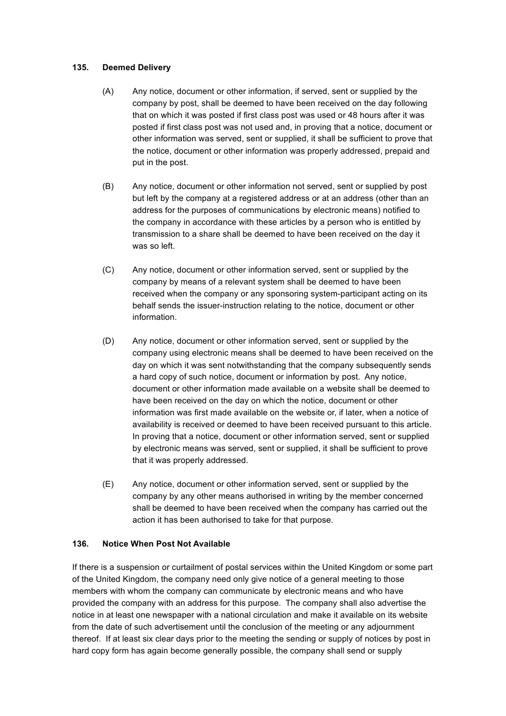### **135. Deemed Delivery**

- (A) Any notice, document or other information, if served, sent or supplied by the company by post, shall be deemed to have been received on the day following that on which it was posted if first class post was used or 48 hours after it was posted if first class post was not used and, in proving that a notice, document or other information was served, sent or supplied, it shall be sufficient to prove that the notice, document or other information was properly addressed, prepaid and put in the post.
- (B) Any notice, document or other information not served, sent or supplied by post but left by the company at a registered address or at an address (other than an address for the purposes of communications by electronic means) notified to the company in accordance with these articles by a person who is entitled by transmission to a share shall be deemed to have been received on the day it was so left.
- (C) Any notice, document or other information served, sent or supplied by the company by means of a relevant system shall be deemed to have been received when the company or any sponsoring system-participant acting on its behalf sends the issuer-instruction relating to the notice, document or other information.
- (D) Any notice, document or other information served, sent or supplied by the company using electronic means shall be deemed to have been received on the day on which it was sent notwithstanding that the company subsequently sends a hard copy of such notice, document or information by post. Any notice, document or other information made available on a website shall be deemed to have been received on the day on which the notice, document or other information was first made available on the website or, if later, when a notice of availability is received or deemed to have been received pursuant to this article. In proving that a notice, document or other information served, sent or supplied by electronic means was served, sent or supplied, it shall be sufficient to prove that it was properly addressed.
- (E) Any notice, document or other information served, sent or supplied by the company by any other means authorised in writing by the member concerned shall be deemed to have been received when the company has carried out the action it has been authorised to take for that purpose.

# **136. Notice When Post Not Available**

If there is a suspension or curtailment of postal services within the United Kingdom or some part of the United Kingdom, the company need only give notice of a general meeting to those members with whom the company can communicate by electronic means and who have provided the company with an address for this purpose. The company shall also advertise the notice in at least one newspaper with a national circulation and make it available on its website from the date of such advertisement until the conclusion of the meeting or any adjournment thereof. If at least six clear days prior to the meeting the sending or supply of notices by post in hard copy form has again become generally possible, the company shall send or supply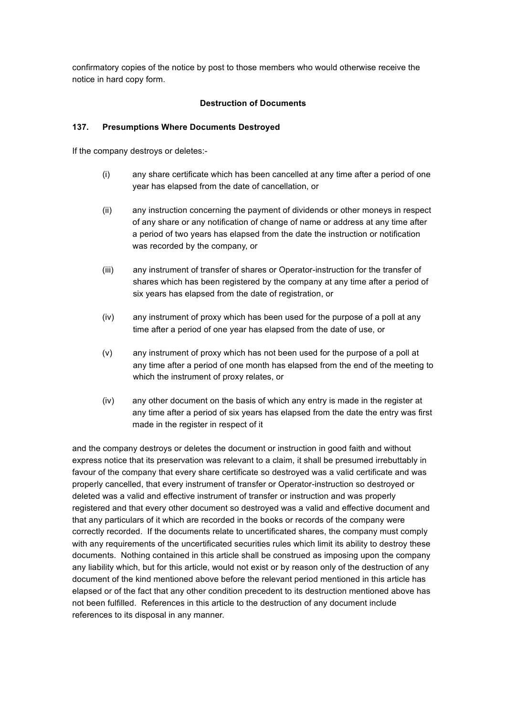confirmatory copies of the notice by post to those members who would otherwise receive the notice in hard copy form.

### **Destruction of Documents**

### **137. Presumptions Where Documents Destroyed**

If the company destroys or deletes:-

- (i) any share certificate which has been cancelled at any time after a period of one year has elapsed from the date of cancellation, or
- (ii) any instruction concerning the payment of dividends or other moneys in respect of any share or any notification of change of name or address at any time after a period of two years has elapsed from the date the instruction or notification was recorded by the company, or
- (iii) any instrument of transfer of shares or Operator-instruction for the transfer of shares which has been registered by the company at any time after a period of six years has elapsed from the date of registration, or
- (iv) any instrument of proxy which has been used for the purpose of a poll at any time after a period of one year has elapsed from the date of use, or
- (v) any instrument of proxy which has not been used for the purpose of a poll at any time after a period of one month has elapsed from the end of the meeting to which the instrument of proxy relates, or
- (iv) any other document on the basis of which any entry is made in the register at any time after a period of six years has elapsed from the date the entry was first made in the register in respect of it

and the company destroys or deletes the document or instruction in good faith and without express notice that its preservation was relevant to a claim, it shall be presumed irrebuttably in favour of the company that every share certificate so destroyed was a valid certificate and was properly cancelled, that every instrument of transfer or Operator-instruction so destroyed or deleted was a valid and effective instrument of transfer or instruction and was properly registered and that every other document so destroyed was a valid and effective document and that any particulars of it which are recorded in the books or records of the company were correctly recorded. If the documents relate to uncertificated shares, the company must comply with any requirements of the uncertificated securities rules which limit its ability to destroy these documents. Nothing contained in this article shall be construed as imposing upon the company any liability which, but for this article, would not exist or by reason only of the destruction of any document of the kind mentioned above before the relevant period mentioned in this article has elapsed or of the fact that any other condition precedent to its destruction mentioned above has not been fulfilled. References in this article to the destruction of any document include references to its disposal in any manner.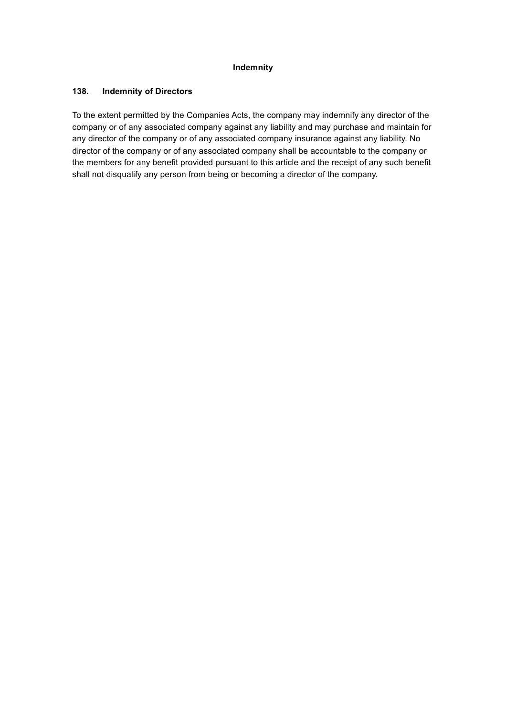### **Indemnity**

### **138. Indemnity of Directors**

To the extent permitted by the Companies Acts, the company may indemnify any director of the company or of any associated company against any liability and may purchase and maintain for any director of the company or of any associated company insurance against any liability. No director of the company or of any associated company shall be accountable to the company or the members for any benefit provided pursuant to this article and the receipt of any such benefit shall not disqualify any person from being or becoming a director of the company.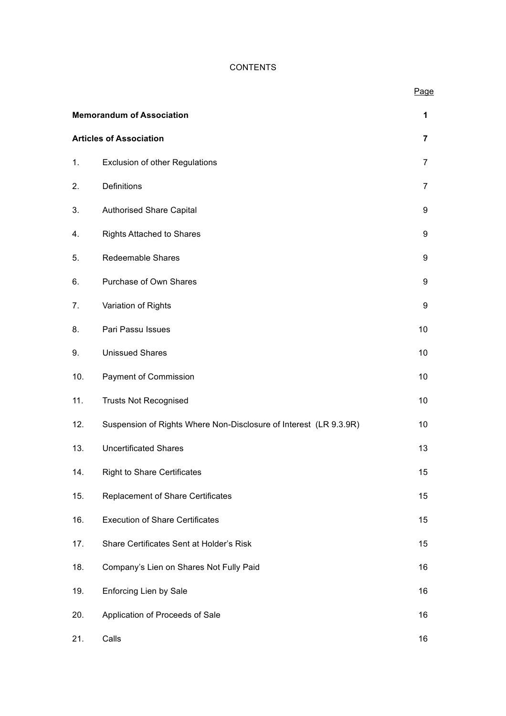## **CONTENTS**

## Page

|                                | <b>Memorandum of Association</b>                                  |                |
|--------------------------------|-------------------------------------------------------------------|----------------|
| <b>Articles of Association</b> |                                                                   | $\overline{7}$ |
| 1.                             | <b>Exclusion of other Regulations</b>                             | $\overline{7}$ |
| 2.                             | Definitions                                                       | $\overline{7}$ |
| 3.                             | <b>Authorised Share Capital</b>                                   | 9              |
| 4.                             | <b>Rights Attached to Shares</b>                                  | 9              |
| 5.                             | Redeemable Shares                                                 | 9              |
| 6.                             | Purchase of Own Shares                                            | 9              |
| 7.                             | Variation of Rights                                               | 9              |
| 8.                             | Pari Passu Issues                                                 | 10             |
| 9.                             | <b>Unissued Shares</b>                                            | 10             |
| 10.                            | Payment of Commission                                             | 10             |
| 11.                            | <b>Trusts Not Recognised</b>                                      | 10             |
| 12.                            | Suspension of Rights Where Non-Disclosure of Interest (LR 9.3.9R) | 10             |
| 13.                            | <b>Uncertificated Shares</b>                                      | 13             |
| 14.                            | <b>Right to Share Certificates</b>                                | 15             |
| 15.                            | Replacement of Share Certificates                                 | 15             |
| 16.                            | <b>Execution of Share Certificates</b>                            | 15             |
| 17.                            | Share Certificates Sent at Holder's Risk                          | 15             |
| 18.                            | Company's Lien on Shares Not Fully Paid                           | 16             |
| 19.                            | Enforcing Lien by Sale                                            | 16             |
| 20.                            | Application of Proceeds of Sale                                   | 16             |
| 21.                            | Calls                                                             | 16             |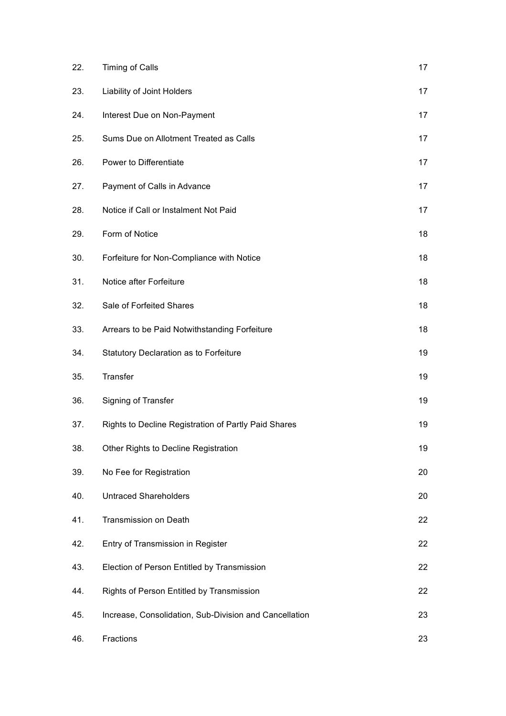| 22. | Timing of Calls                                        | 17 |
|-----|--------------------------------------------------------|----|
| 23. | Liability of Joint Holders                             | 17 |
| 24. | Interest Due on Non-Payment                            | 17 |
| 25. | Sums Due on Allotment Treated as Calls                 | 17 |
| 26. | Power to Differentiate                                 | 17 |
| 27. | Payment of Calls in Advance                            | 17 |
| 28. | Notice if Call or Instalment Not Paid                  | 17 |
| 29. | Form of Notice                                         | 18 |
| 30. | Forfeiture for Non-Compliance with Notice              | 18 |
| 31. | Notice after Forfeiture                                | 18 |
| 32. | Sale of Forfeited Shares                               | 18 |
| 33. | Arrears to be Paid Notwithstanding Forfeiture          | 18 |
| 34. | Statutory Declaration as to Forfeiture                 | 19 |
| 35. | Transfer                                               | 19 |
| 36. | Signing of Transfer                                    | 19 |
| 37. | Rights to Decline Registration of Partly Paid Shares   | 19 |
| 38. | Other Rights to Decline Registration                   | 19 |
| 39. | No Fee for Registration                                | 20 |
| 40. | <b>Untraced Shareholders</b>                           | 20 |
| 41. | Transmission on Death                                  | 22 |
| 42. | Entry of Transmission in Register                      | 22 |
| 43. | Election of Person Entitled by Transmission            | 22 |
| 44. | Rights of Person Entitled by Transmission              | 22 |
| 45. | Increase, Consolidation, Sub-Division and Cancellation | 23 |
| 46. | Fractions                                              | 23 |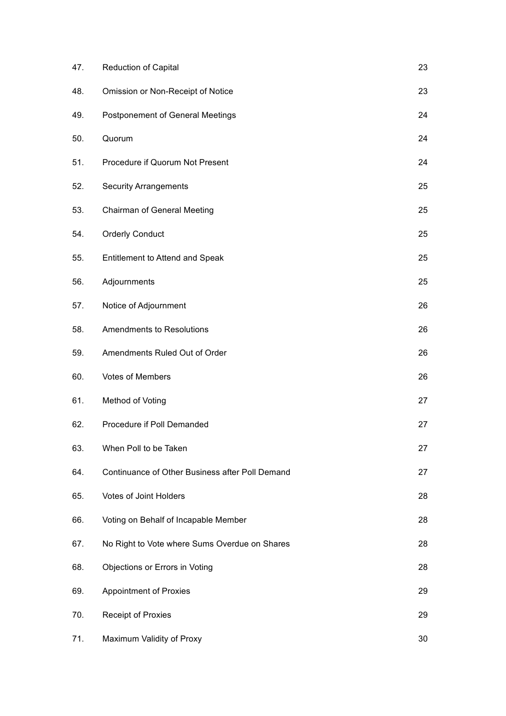| 47. | <b>Reduction of Capital</b>                     | 23 |
|-----|-------------------------------------------------|----|
| 48. | Omission or Non-Receipt of Notice               | 23 |
| 49. | <b>Postponement of General Meetings</b>         | 24 |
| 50. | Quorum                                          | 24 |
| 51. | Procedure if Quorum Not Present                 | 24 |
| 52. | <b>Security Arrangements</b>                    | 25 |
| 53. | Chairman of General Meeting                     | 25 |
| 54. | <b>Orderly Conduct</b>                          | 25 |
| 55. | Entitlement to Attend and Speak                 | 25 |
| 56. | Adjournments                                    | 25 |
| 57. | Notice of Adjournment                           | 26 |
| 58. | <b>Amendments to Resolutions</b>                | 26 |
| 59. | Amendments Ruled Out of Order                   | 26 |
| 60. | <b>Votes of Members</b>                         | 26 |
| 61. | Method of Voting                                | 27 |
| 62. | Procedure if Poll Demanded                      | 27 |
| 63. | When Poll to be Taken                           | 27 |
| 64. | Continuance of Other Business after Poll Demand | 27 |
| 65. | <b>Votes of Joint Holders</b>                   | 28 |
| 66. | Voting on Behalf of Incapable Member            | 28 |
| 67. | No Right to Vote where Sums Overdue on Shares   | 28 |
| 68. | Objections or Errors in Voting                  | 28 |
| 69. | <b>Appointment of Proxies</b>                   | 29 |
| 70. | <b>Receipt of Proxies</b>                       | 29 |
| 71. | Maximum Validity of Proxy                       | 30 |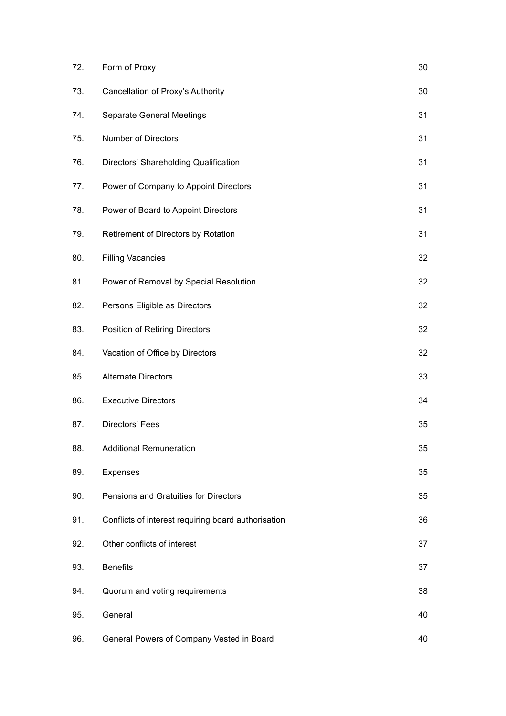| 72. | Form of Proxy                                       | 30 |
|-----|-----------------------------------------------------|----|
| 73. | Cancellation of Proxy's Authority                   | 30 |
| 74. | <b>Separate General Meetings</b>                    | 31 |
| 75. | Number of Directors                                 | 31 |
| 76. | Directors' Shareholding Qualification               | 31 |
| 77. | Power of Company to Appoint Directors               | 31 |
| 78. | Power of Board to Appoint Directors                 | 31 |
| 79. | Retirement of Directors by Rotation                 | 31 |
| 80. | <b>Filling Vacancies</b>                            | 32 |
| 81. | Power of Removal by Special Resolution              | 32 |
| 82. | Persons Eligible as Directors                       | 32 |
| 83. | Position of Retiring Directors                      | 32 |
| 84. | Vacation of Office by Directors                     | 32 |
| 85. | <b>Alternate Directors</b>                          | 33 |
| 86. | <b>Executive Directors</b>                          | 34 |
| 87. | Directors' Fees                                     | 35 |
| 88. | <b>Additional Remuneration</b>                      | 35 |
| 89. | Expenses                                            | 35 |
| 90. | Pensions and Gratuities for Directors               | 35 |
| 91. | Conflicts of interest requiring board authorisation | 36 |
| 92. | Other conflicts of interest                         | 37 |
| 93. | <b>Benefits</b>                                     | 37 |
| 94. | Quorum and voting requirements                      | 38 |
| 95. | General                                             | 40 |
| 96. | General Powers of Company Vested in Board           | 40 |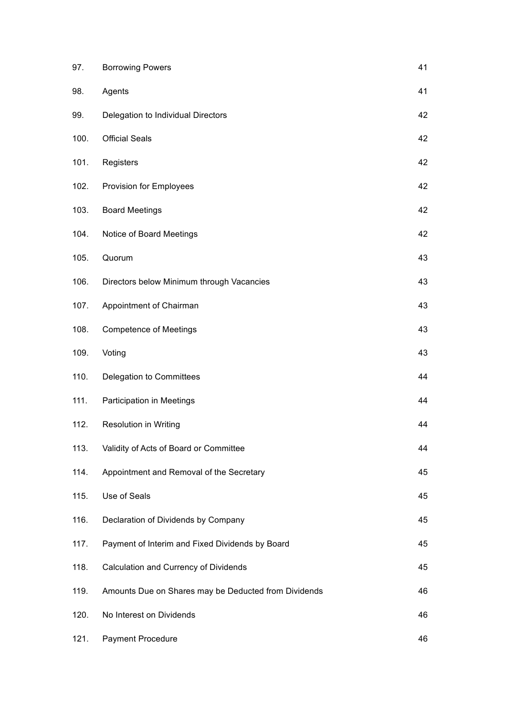| 97.  | <b>Borrowing Powers</b>                              | 41 |
|------|------------------------------------------------------|----|
| 98.  | Agents                                               | 41 |
| 99.  | Delegation to Individual Directors                   | 42 |
| 100. | <b>Official Seals</b>                                | 42 |
| 101. | Registers                                            | 42 |
| 102. | Provision for Employees                              | 42 |
| 103. | <b>Board Meetings</b>                                | 42 |
| 104. | Notice of Board Meetings                             | 42 |
| 105. | Quorum                                               | 43 |
| 106. | Directors below Minimum through Vacancies            | 43 |
| 107. | Appointment of Chairman                              | 43 |
| 108. | <b>Competence of Meetings</b>                        | 43 |
| 109. | Voting                                               | 43 |
| 110. | Delegation to Committees                             | 44 |
| 111. | Participation in Meetings                            | 44 |
| 112. | <b>Resolution in Writing</b>                         | 44 |
| 113. | Validity of Acts of Board or Committee               | 44 |
| 114. | Appointment and Removal of the Secretary             | 45 |
| 115. | Use of Seals                                         | 45 |
| 116. | Declaration of Dividends by Company                  | 45 |
| 117. | Payment of Interim and Fixed Dividends by Board      | 45 |
| 118. | Calculation and Currency of Dividends                | 45 |
| 119. | Amounts Due on Shares may be Deducted from Dividends | 46 |
| 120. | No Interest on Dividends                             | 46 |
| 121. | Payment Procedure                                    | 46 |